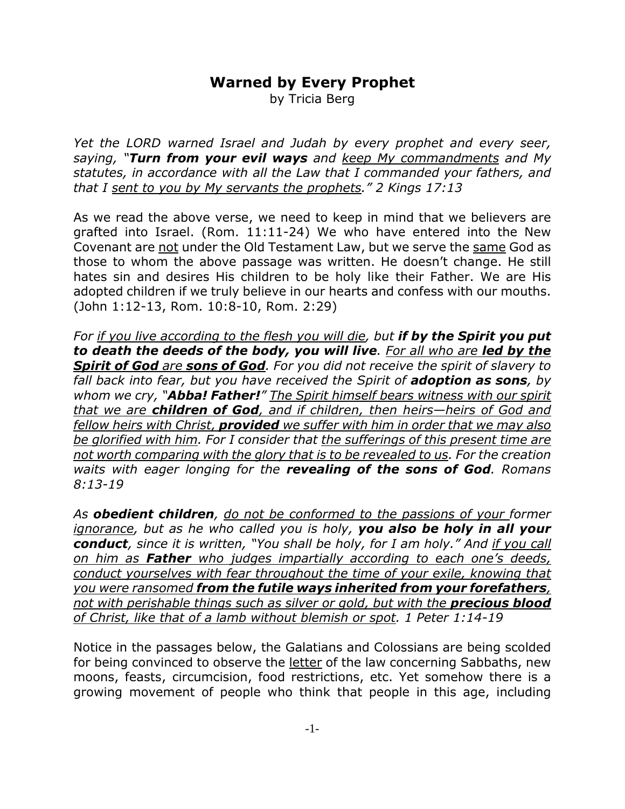# **Warned by Every Prophet**

by Tricia Berg

*Yet the LORD warned Israel and Judah by every prophet and every seer, saying, "Turn from your evil ways and keep My commandments and My statutes, in accordance with all the Law that I commanded your fathers, and that I sent to you by My servants the prophets." 2 Kings 17:13*

As we read the above verse, we need to keep in mind that we believers are grafted into Israel. (Rom. 11:11-24) We who have entered into the New Covenant are not under the Old Testament Law, but we serve the same God as those to whom the above passage was written. He doesn't change. He still hates sin and desires His children to be holy like their Father. We are His adopted children if we truly believe in our hearts and confess with our mouths. (John 1:12-13, Rom. 10:8-10, Rom. 2:29)

*For if you live according to the flesh you will die, but if by the Spirit you put to death the deeds of the body, you will live. For all who are led by the Spirit of God are sons of God. For you did not receive the spirit of slavery to fall back into fear, but you have received the Spirit of adoption as sons, by whom we cry, "Abba! Father!" The Spirit himself bears witness with our spirit that we are children of God, and if children, then heirs—heirs of God and fellow heirs with Christ, provided we suffer with him in order that we may also be glorified with him. For I consider that the sufferings of this present time are not worth comparing with the glory that is to be revealed to us. For the creation waits with eager longing for the revealing of the sons of God. Romans 8:13-19*

*As obedient children, do not be conformed to the passions of your former ignorance, but as he who called you is holy, you also be holy in all your conduct, since it is written, "You shall be holy, for I am holy." And if you call on him as Father who judges impartially according to each one's deeds, conduct yourselves with fear throughout the time of your exile, knowing that you were ransomed from the futile ways inherited from your forefathers, not with perishable things such as silver or gold, but with the precious blood of Christ, like that of a lamb without blemish or spot. 1 Peter 1:14-19*

Notice in the passages below, the Galatians and Colossians are being scolded for being convinced to observe the letter of the law concerning Sabbaths, new moons, feasts, circumcision, food restrictions, etc. Yet somehow there is a growing movement of people who think that people in this age, including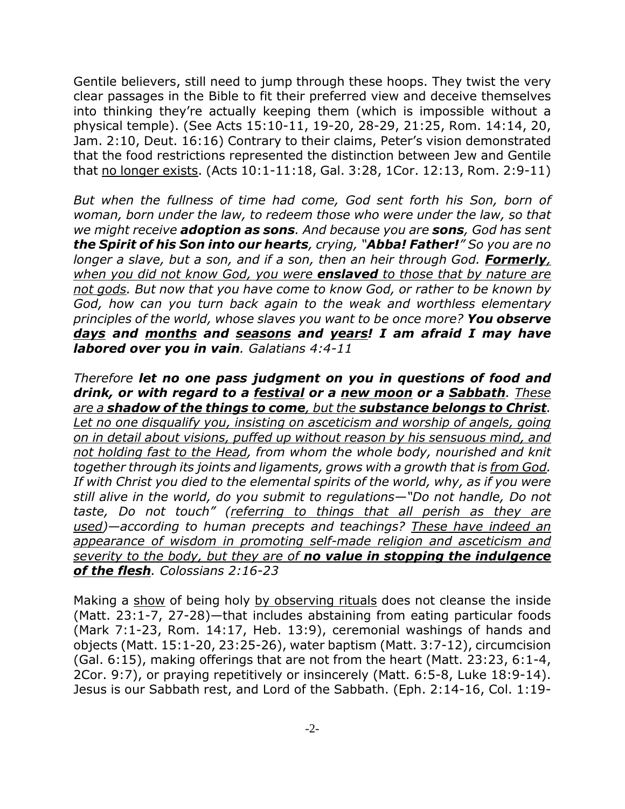Gentile believers, still need to jump through these hoops. They twist the very clear passages in the Bible to fit their preferred view and deceive themselves into thinking they're actually keeping them (which is impossible without a physical temple). (See Acts 15:10-11, 19-20, 28-29, 21:25, Rom. 14:14, 20, Jam. 2:10, Deut. 16:16) Contrary to their claims, Peter's vision demonstrated that the food restrictions represented the distinction between Jew and Gentile that no longer exists. (Acts 10:1-11:18, Gal. 3:28, 1Cor. 12:13, Rom. 2:9-11)

*But when the fullness of time had come, God sent forth his Son, born of woman, born under the law, to redeem those who were under the law, so that we might receive adoption as sons. And because you are sons, God has sent the Spirit of his Son into our hearts, crying, "Abba! Father!" So you are no longer a slave, but a son, and if a son, then an heir through God. Formerly, when you did not know God, you were enslaved to those that by nature are not gods. But now that you have come to know God, or rather to be known by God, how can you turn back again to the weak and worthless elementary principles of the world, whose slaves you want to be once more? You observe days and months and seasons and years! I am afraid I may have labored over you in vain. Galatians 4:4-11*

*Therefore let no one pass judgment on you in questions of food and drink, or with regard to a festival or a new moon or a Sabbath. These are a shadow of the things to come, but the substance belongs to Christ. Let no one disqualify you, insisting on asceticism and worship of angels, going on in detail about visions, puffed up without reason by his sensuous mind, and not holding fast to the Head, from whom the whole body, nourished and knit together through its joints and ligaments, grows with a growth that is from God. If with Christ you died to the elemental spirits of the world, why, as if you were still alive in the world, do you submit to regulations—"Do not handle, Do not taste, Do not touch" (referring to things that all perish as they are used)—according to human precepts and teachings? These have indeed an appearance of wisdom in promoting self-made religion and asceticism and severity to the body, but they are of no value in stopping the indulgence of the flesh. Colossians 2:16-23*

Making a show of being holy by observing rituals does not cleanse the inside (Matt. 23:1-7, 27-28)—that includes abstaining from eating particular foods (Mark 7:1-23, Rom. 14:17, Heb. 13:9), ceremonial washings of hands and objects (Matt. 15:1-20, 23:25-26), water baptism (Matt. 3:7-12), circumcision (Gal. 6:15), making offerings that are not from the heart (Matt. 23:23, 6:1-4, 2Cor. 9:7), or praying repetitively or insincerely (Matt. 6:5-8, Luke 18:9-14). Jesus is our Sabbath rest, and Lord of the Sabbath. (Eph. 2:14-16, Col. 1:19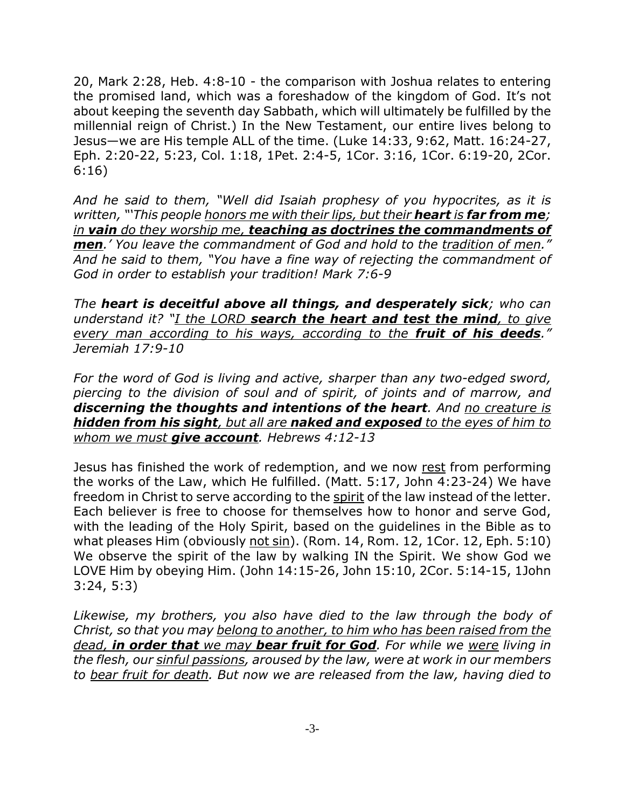20, Mark 2:28, Heb. 4:8-10 - the comparison with Joshua relates to entering the promised land, which was a foreshadow of the kingdom of God. It's not about keeping the seventh day Sabbath, which will ultimately be fulfilled by the millennial reign of Christ.) In the New Testament, our entire lives belong to Jesus—we are His temple ALL of the time. (Luke 14:33, 9:62, Matt. 16:24-27, Eph. 2:20-22, 5:23, Col. 1:18, 1Pet. 2:4-5, 1Cor. 3:16, 1Cor. 6:19-20, 2Cor. 6:16)

*And he said to them, "Well did Isaiah prophesy of you hypocrites, as it is written, "'This people honors me with their lips, but their heart is far from me; in vain do they worship me, teaching as doctrines the commandments of men.' You leave the commandment of God and hold to the tradition of men." And he said to them, "You have a fine way of rejecting the commandment of God in order to establish your tradition! Mark 7:6-9*

*The heart is deceitful above all things, and desperately sick; who can understand it? "I the LORD search the heart and test the mind, to give every man according to his ways, according to the fruit of his deeds." Jeremiah 17:9-10*

*For the word of God is living and active, sharper than any two-edged sword, piercing to the division of soul and of spirit, of joints and of marrow, and discerning the thoughts and intentions of the heart. And no creature is hidden from his sight, but all are naked and exposed to the eyes of him to whom we must give account. Hebrews 4:12-13*

Jesus has finished the work of redemption, and we now rest from performing the works of the Law, which He fulfilled. (Matt. 5:17, John 4:23-24) We have freedom in Christ to serve according to the spirit of the law instead of the letter. Each believer is free to choose for themselves how to honor and serve God, with the leading of the Holy Spirit, based on the guidelines in the Bible as to what pleases Him (obviously not sin). (Rom. 14, Rom. 12, 1Cor. 12, Eph. 5:10) We observe the spirit of the law by walking IN the Spirit. We show God we LOVE Him by obeying Him. (John 14:15-26, John 15:10, 2Cor. 5:14-15, 1John 3:24, 5:3)

*Likewise, my brothers, you also have died to the law through the body of Christ, so that you may belong to another, to him who has been raised from the dead, in order that we may bear fruit for God. For while we were living in the flesh, our sinful passions, aroused by the law, were at work in our members to bear fruit for death. But now we are released from the law, having died to*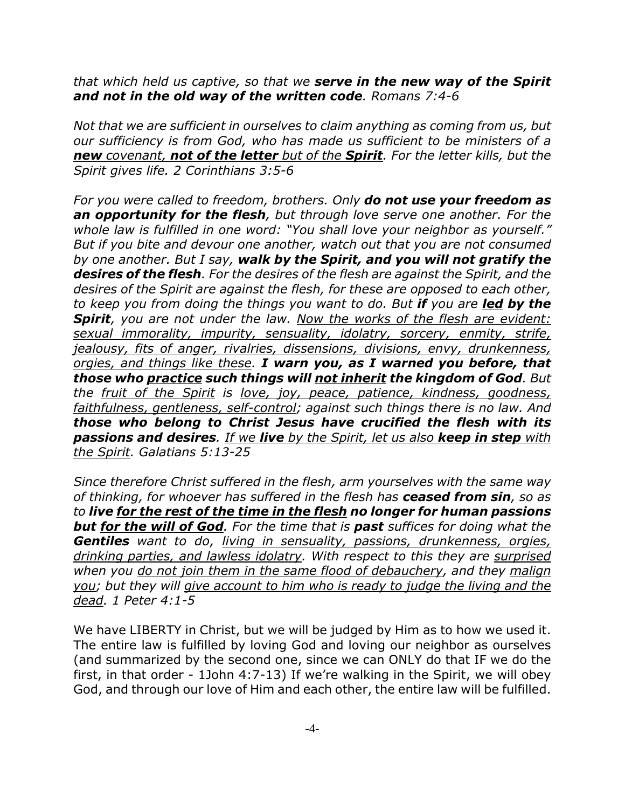*that which held us captive, so that we serve in the new way of the Spirit and not in the old way of the written code. Romans 7:4-6*

*Not that we are sufficient in ourselves to claim anything as coming from us, but our sufficiency is from God, who has made us sufficient to be ministers of a new covenant, not of the letter but of the Spirit. For the letter kills, but the Spirit gives life. 2 Corinthians 3:5-6*

*For you were called to freedom, brothers. Only do not use your freedom as an opportunity for the flesh, but through love serve one another. For the whole law is fulfilled in one word: "You shall love your neighbor as yourself." But if you bite and devour one another, watch out that you are not consumed by one another. But I say, walk by the Spirit, and you will not gratify the desires of the flesh. For the desires of the flesh are against the Spirit, and the desires of the Spirit are against the flesh, for these are opposed to each other, to keep you from doing the things you want to do. But if you are led by the Spirit, you are not under the law. Now the works of the flesh are evident: sexual immorality, impurity, sensuality, idolatry, sorcery, enmity, strife, jealousy, fits of anger, rivalries, dissensions, divisions, envy, drunkenness, orgies, and things like these. I warn you, as I warned you before, that those who practice such things will not inherit the kingdom of God. But the fruit of the Spirit is love, joy, peace, patience, kindness, goodness, faithfulness, gentleness, self-control; against such things there is no law. And those who belong to Christ Jesus have crucified the flesh with its passions and desires. If we live by the Spirit, let us also keep in step with the Spirit. Galatians 5:13-25*

*Since therefore Christ suffered in the flesh, arm yourselves with the same way of thinking, for whoever has suffered in the flesh has ceased from sin, so as to live for the rest of the time in the flesh no longer for human passions but for the will of God. For the time that is past suffices for doing what the Gentiles want to do, living in sensuality, passions, drunkenness, orgies, drinking parties, and lawless idolatry. With respect to this they are surprised when you do not join them in the same flood of debauchery, and they malign you; but they will give account to him who is ready to judge the living and the dead. 1 Peter 4:1-5*

We have LIBERTY in Christ, but we will be judged by Him as to how we used it. The entire law is fulfilled by loving God and loving our neighbor as ourselves (and summarized by the second one, since we can ONLY do that IF we do the first, in that order - 1John 4:7-13) If we're walking in the Spirit, we will obey God, and through our love of Him and each other, the entire law will be fulfilled.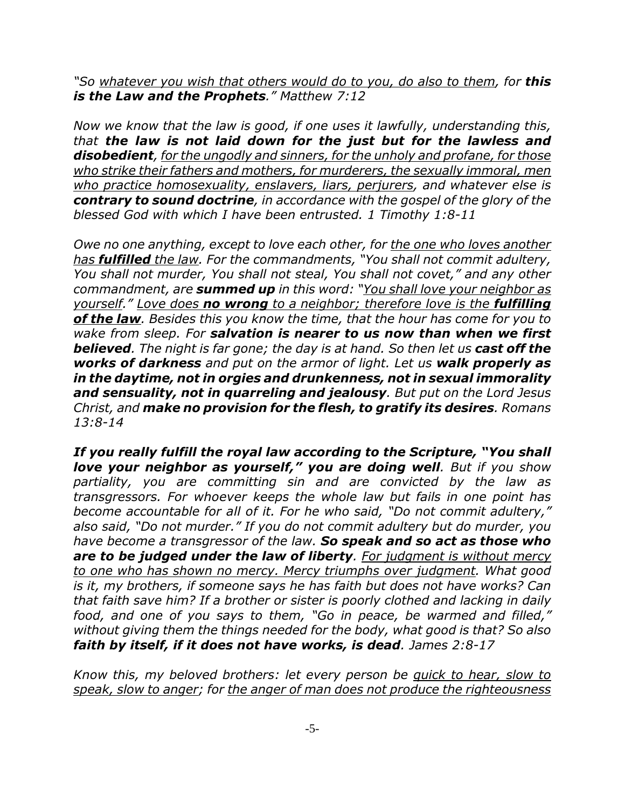*"So whatever you wish that others would do to you, do also to them, for this is the Law and the Prophets." Matthew 7:12*

*Now we know that the law is good, if one uses it lawfully, understanding this, that the law is not laid down for the just but for the lawless and disobedient, for the ungodly and sinners, for the unholy and profane, for those who strike their fathers and mothers, for murderers, the sexually immoral, men who practice homosexuality, enslavers, liars, perjurers, and whatever else is contrary to sound doctrine, in accordance with the gospel of the glory of the blessed God with which I have been entrusted. 1 Timothy 1:8-11*

*Owe no one anything, except to love each other, for the one who loves another has fulfilled the law. For the commandments, "You shall not commit adultery, You shall not murder, You shall not steal, You shall not covet," and any other commandment, are summed up in this word: "You shall love your neighbor as yourself." Love does no wrong to a neighbor; therefore love is the fulfilling of the law. Besides this you know the time, that the hour has come for you to wake from sleep. For salvation is nearer to us now than when we first believed. The night is far gone; the day is at hand. So then let us cast off the works of darkness and put on the armor of light. Let us walk properly as in the daytime, not in orgies and drunkenness, not in sexual immorality and sensuality, not in quarreling and jealousy. But put on the Lord Jesus Christ, and make no provision for the flesh, to gratify its desires. Romans 13:8-14*

*If you really fulfill the royal law according to the Scripture, "You shall love your neighbor as yourself," you are doing well. But if you show partiality, you are committing sin and are convicted by the law as transgressors. For whoever keeps the whole law but fails in one point has become accountable for all of it. For he who said, "Do not commit adultery," also said, "Do not murder." If you do not commit adultery but do murder, you have become a transgressor of the law. So speak and so act as those who are to be judged under the law of liberty. For judgment is without mercy to one who has shown no mercy. Mercy triumphs over judgment. What good is it, my brothers, if someone says he has faith but does not have works? Can that faith save him? If a brother or sister is poorly clothed and lacking in daily food, and one of you says to them, "Go in peace, be warmed and filled," without giving them the things needed for the body, what good is that? So also faith by itself, if it does not have works, is dead. James 2:8-17*

*Know this, my beloved brothers: let every person be quick to hear, slow to speak, slow to anger; for the anger of man does not produce the righteousness*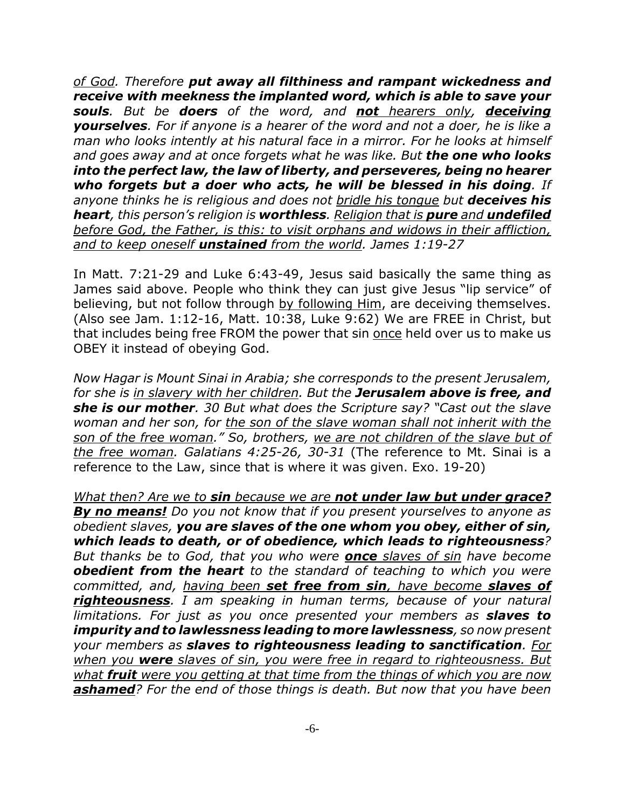*of God. Therefore put away all filthiness and rampant wickedness and receive with meekness the implanted word, which is able to save your souls. But be doers of the word, and not hearers only, deceiving yourselves. For if anyone is a hearer of the word and not a doer, he is like a man who looks intently at his natural face in a mirror. For he looks at himself and goes away and at once forgets what he was like. But the one who looks into the perfect law, the law of liberty, and perseveres, being no hearer who forgets but a doer who acts, he will be blessed in his doing. If anyone thinks he is religious and does not bridle his tongue but deceives his heart, this person's religion is worthless. Religion that is pure and undefiled before God, the Father, is this: to visit orphans and widows in their affliction, and to keep oneself unstained from the world. James 1:19-27*

In Matt. 7:21-29 and Luke 6:43-49, Jesus said basically the same thing as James said above. People who think they can just give Jesus "lip service" of believing, but not follow through by following Him, are deceiving themselves. (Also see Jam. 1:12-16, Matt. 10:38, Luke 9:62) We are FREE in Christ, but that includes being free FROM the power that sin once held over us to make us OBEY it instead of obeying God.

*Now Hagar is Mount Sinai in Arabia; she corresponds to the present Jerusalem, for she is in slavery with her children. But the Jerusalem above is free, and she is our mother. 30 But what does the Scripture say? "Cast out the slave woman and her son, for the son of the slave woman shall not inherit with the son of the free woman." So, brothers, we are not children of the slave but of the free woman. Galatians 4:25-26, 30-31* (The reference to Mt. Sinai is a reference to the Law, since that is where it was given. Exo. 19-20)

*What then? Are we to sin because we are not under law but under grace? By no means! Do you not know that if you present yourselves to anyone as obedient slaves, you are slaves of the one whom you obey, either of sin, which leads to death, or of obedience, which leads to righteousness? But thanks be to God, that you who were once slaves of sin have become obedient from the heart to the standard of teaching to which you were committed, and, having been set free from sin, have become slaves of righteousness. I am speaking in human terms, because of your natural limitations. For just as you once presented your members as slaves to impurity and to lawlessness leading to more lawlessness, so now present your members as slaves to righteousness leading to sanctification. For when you were slaves of sin, you were free in regard to righteousness. But what fruit were you getting at that time from the things of which you are now ashamed? For the end of those things is death. But now that you have been*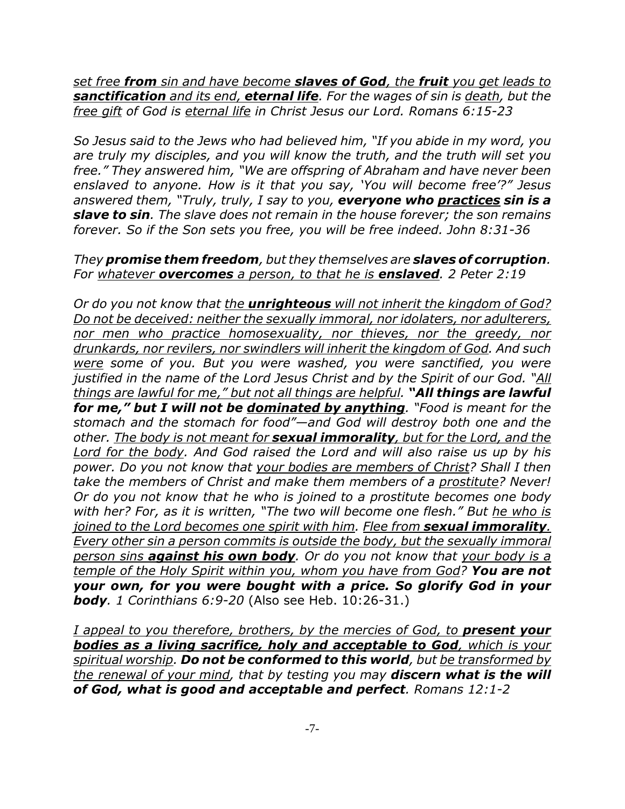*set free from sin and have become slaves of God, the fruit you get leads to sanctification and its end, eternal life. For the wages of sin is death, but the free gift of God is eternal life in Christ Jesus our Lord. Romans 6:15-23*

*So Jesus said to the Jews who had believed him, "If you abide in my word, you are truly my disciples, and you will know the truth, and the truth will set you free." They answered him, "We are offspring of Abraham and have never been enslaved to anyone. How is it that you say, 'You will become free'?" Jesus answered them, "Truly, truly, I say to you, everyone who practices sin is a slave to sin. The slave does not remain in the house forever; the son remains forever. So if the Son sets you free, you will be free indeed. John 8:31-36*

## *They promise them freedom, but they themselves are slaves of corruption. For whatever overcomes a person, to that he is enslaved. 2 Peter 2:19*

*Or do you not know that the unrighteous will not inherit the kingdom of God? Do not be deceived: neither the sexually immoral, nor idolaters, nor adulterers, nor men who practice homosexuality, nor thieves, nor the greedy, nor drunkards, nor revilers, nor swindlers will inherit the kingdom of God. And such were some of you. But you were washed, you were sanctified, you were justified in the name of the Lord Jesus Christ and by the Spirit of our God. "All things are lawful for me," but not all things are helpful. "All things are lawful for me," but I will not be dominated by anything. "Food is meant for the stomach and the stomach for food"—and God will destroy both one and the other. The body is not meant for sexual immorality, but for the Lord, and the Lord for the body. And God raised the Lord and will also raise us up by his power. Do you not know that your bodies are members of Christ? Shall I then take the members of Christ and make them members of a prostitute? Never! Or do you not know that he who is joined to a prostitute becomes one body with her? For, as it is written, "The two will become one flesh." But he who is joined to the Lord becomes one spirit with him. Flee from sexual immorality. Every other sin a person commits is outside the body, but the sexually immoral person sins against his own body. Or do you not know that your body is a temple of the Holy Spirit within you, whom you have from God? You are not your own, for you were bought with a price. So glorify God in your body. 1 Corinthians 6:9-20* (Also see Heb. 10:26-31.)

*I appeal to you therefore, brothers, by the mercies of God, to present your bodies as a living sacrifice, holy and acceptable to God, which is your spiritual worship. Do not be conformed to this world, but be transformed by the renewal of your mind, that by testing you may discern what is the will of God, what is good and acceptable and perfect. Romans 12:1-2*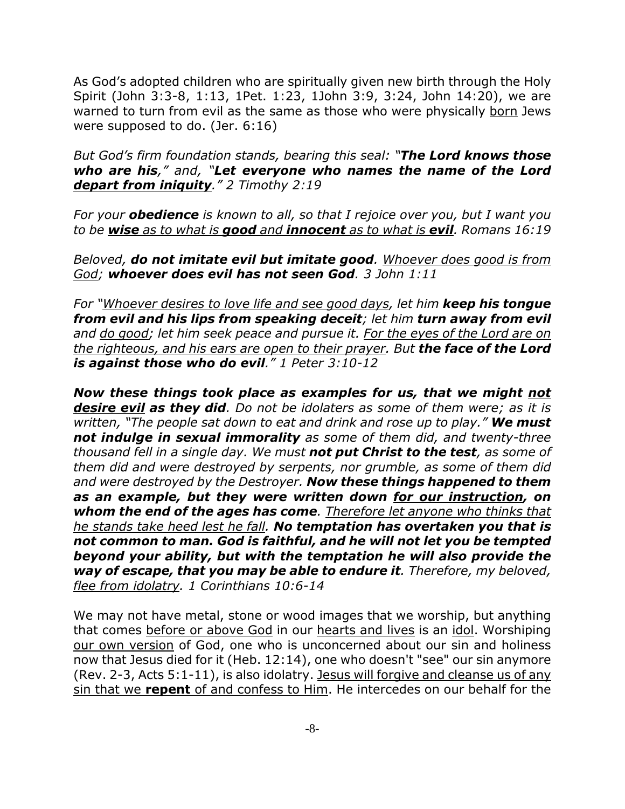As God's adopted children who are spiritually given new birth through the Holy Spirit (John 3:3-8, 1:13, 1Pet. 1:23, 1John 3:9, 3:24, John 14:20), we are warned to turn from evil as the same as those who were physically born Jews were supposed to do. (Jer. 6:16)

*But God's firm foundation stands, bearing this seal: "The Lord knows those who are his," and, "Let everyone who names the name of the Lord depart from iniquity." 2 Timothy 2:19*

*For your obedience is known to all, so that I rejoice over you, but I want you to be wise as to what is good and innocent as to what is evil. Romans 16:19*

*Beloved, do not imitate evil but imitate good. Whoever does good is from God; whoever does evil has not seen God. 3 John 1:11*

*For "Whoever desires to love life and see good days, let him keep his tongue from evil and his lips from speaking deceit; let him turn away from evil and do good; let him seek peace and pursue it. For the eyes of the Lord are on the righteous, and his ears are open to their prayer. But the face of the Lord is against those who do evil." 1 Peter 3:10-12*

*Now these things took place as examples for us, that we might not desire evil as they did. Do not be idolaters as some of them were; as it is written, "The people sat down to eat and drink and rose up to play." We must not indulge in sexual immorality as some of them did, and twenty-three thousand fell in a single day. We must not put Christ to the test, as some of them did and were destroyed by serpents, nor grumble, as some of them did and were destroyed by the Destroyer. Now these things happened to them as an example, but they were written down for our instruction, on whom the end of the ages has come. Therefore let anyone who thinks that he stands take heed lest he fall. No temptation has overtaken you that is not common to man. God is faithful, and he will not let you be tempted beyond your ability, but with the temptation he will also provide the way of escape, that you may be able to endure it. Therefore, my beloved, flee from idolatry. 1 Corinthians 10:6-14*

We may not have metal, stone or wood images that we worship, but anything that comes before or above God in our hearts and lives is an idol. Worshiping our own version of God, one who is unconcerned about our sin and holiness now that Jesus died for it (Heb. 12:14), one who doesn't "see" our sin anymore (Rev. 2-3, Acts 5:1-11), is also idolatry. Jesus will forgive and cleanse us of any sin that we **repent** of and confess to Him. He intercedes on our behalf for the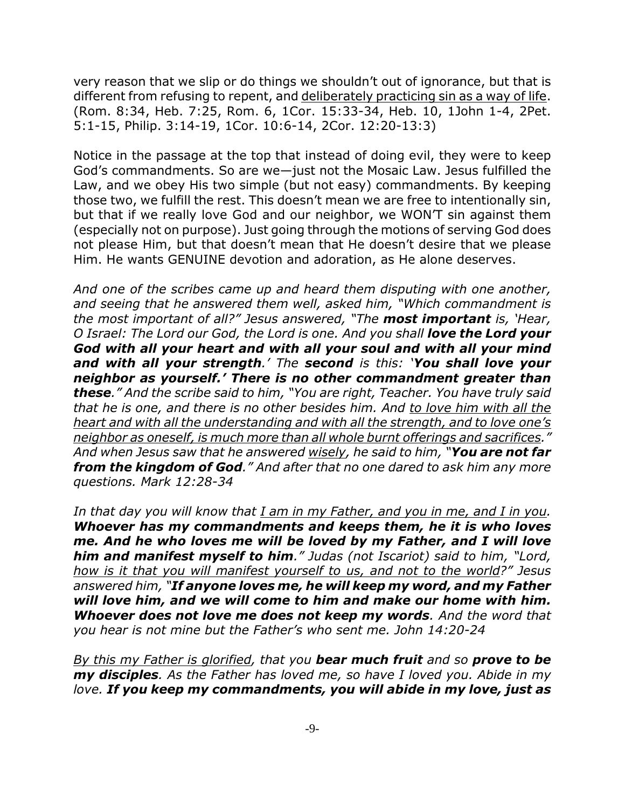very reason that we slip or do things we shouldn't out of ignorance, but that is different from refusing to repent, and deliberately practicing sin as a way of life. (Rom. 8:34, Heb. 7:25, Rom. 6, 1Cor. 15:33-34, Heb. 10, 1John 1-4, 2Pet. 5:1-15, Philip. 3:14-19, 1Cor. 10:6-14, 2Cor. 12:20-13:3)

Notice in the passage at the top that instead of doing evil, they were to keep God's commandments. So are we—just not the Mosaic Law. Jesus fulfilled the Law, and we obey His two simple (but not easy) commandments. By keeping those two, we fulfill the rest. This doesn't mean we are free to intentionally sin, but that if we really love God and our neighbor, we WON'T sin against them (especially not on purpose). Just going through the motions of serving God does not please Him, but that doesn't mean that He doesn't desire that we please Him. He wants GENUINE devotion and adoration, as He alone deserves.

*And one of the scribes came up and heard them disputing with one another, and seeing that he answered them well, asked him, "Which commandment is the most important of all?" Jesus answered, "The most important is, 'Hear, O Israel: The Lord our God, the Lord is one. And you shall love the Lord your God with all your heart and with all your soul and with all your mind and with all your strength.' The second is this: 'You shall love your neighbor as yourself.' There is no other commandment greater than these." And the scribe said to him, "You are right, Teacher. You have truly said that he is one, and there is no other besides him. And to love him with all the heart and with all the understanding and with all the strength, and to love one's neighbor as oneself, is much more than all whole burnt offerings and sacrifices." And when Jesus saw that he answered wisely, he said to him, "You are not far from the kingdom of God." And after that no one dared to ask him any more questions. Mark 12:28-34*

*In that day you will know that I am in my Father, and you in me, and I in you. Whoever has my commandments and keeps them, he it is who loves me. And he who loves me will be loved by my Father, and I will love him and manifest myself to him." Judas (not Iscariot) said to him, "Lord, how is it that you will manifest yourself to us, and not to the world?" Jesus answered him, "If anyone loves me, he will keep my word, and my Father will love him, and we will come to him and make our home with him. Whoever does not love me does not keep my words. And the word that you hear is not mine but the Father's who sent me. John 14:20-24*

*By this my Father is glorified, that you bear much fruit and so prove to be my disciples. As the Father has loved me, so have I loved you. Abide in my love. If you keep my commandments, you will abide in my love, just as*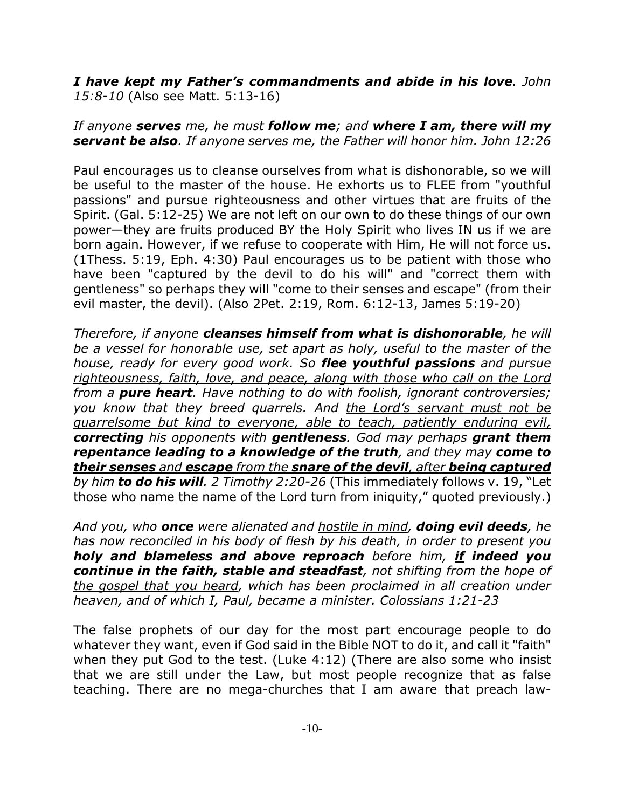*I have kept my Father's commandments and abide in his love. John 15:8-10* (Also see Matt. 5:13-16)

## *If anyone serves me, he must follow me; and where I am, there will my servant be also. If anyone serves me, the Father will honor him. John 12:26*

Paul encourages us to cleanse ourselves from what is dishonorable, so we will be useful to the master of the house. He exhorts us to FLEE from "youthful passions" and pursue righteousness and other virtues that are fruits of the Spirit. (Gal. 5:12-25) We are not left on our own to do these things of our own power—they are fruits produced BY the Holy Spirit who lives IN us if we are born again. However, if we refuse to cooperate with Him, He will not force us. (1Thess. 5:19, Eph. 4:30) Paul encourages us to be patient with those who have been "captured by the devil to do his will" and "correct them with gentleness" so perhaps they will "come to their senses and escape" (from their evil master, the devil). (Also 2Pet. 2:19, Rom. 6:12-13, James 5:19-20)

*Therefore, if anyone cleanses himself from what is dishonorable, he will be a vessel for honorable use, set apart as holy, useful to the master of the house, ready for every good work. So flee youthful passions and pursue righteousness, faith, love, and peace, along with those who call on the Lord from a pure heart. Have nothing to do with foolish, ignorant controversies; you know that they breed quarrels. And the Lord's servant must not be quarrelsome but kind to everyone, able to teach, patiently enduring evil, correcting his opponents with gentleness. God may perhaps grant them repentance leading to a knowledge of the truth, and they may come to their senses and escape from the snare of the devil, after being captured by him to do his will. 2 Timothy 2:20-26* (This immediately follows v. 19, "Let those who name the name of the Lord turn from iniquity," quoted previously.)

*And you, who once were alienated and hostile in mind, doing evil deeds, he has now reconciled in his body of flesh by his death, in order to present you holy and blameless and above reproach before him, if indeed you continue in the faith, stable and steadfast, not shifting from the hope of the gospel that you heard, which has been proclaimed in all creation under heaven, and of which I, Paul, became a minister. Colossians 1:21-23*

The false prophets of our day for the most part encourage people to do whatever they want, even if God said in the Bible NOT to do it, and call it "faith" when they put God to the test. (Luke 4:12) (There are also some who insist that we are still under the Law, but most people recognize that as false teaching. There are no mega-churches that I am aware that preach law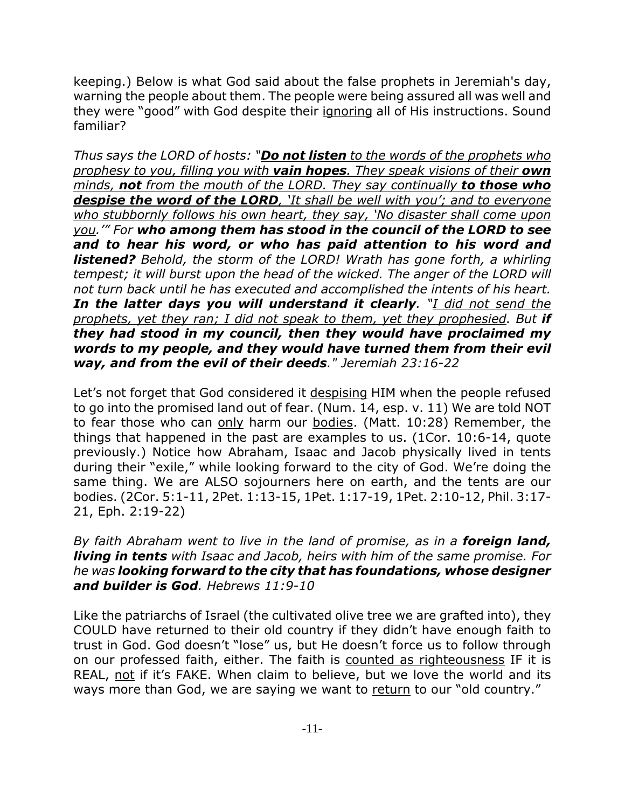keeping.) Below is what God said about the false prophets in Jeremiah's day, warning the people about them. The people were being assured all was well and they were "good" with God despite their ignoring all of His instructions. Sound familiar?

*Thus says the LORD of hosts: "Do not listen to the words of the prophets who prophesy to you, filling you with vain hopes. They speak visions of their own minds, not from the mouth of the LORD. They say continually to those who despise the word of the LORD, 'It shall be well with you'; and to everyone who stubbornly follows his own heart, they say, 'No disaster shall come upon you.'" For who among them has stood in the council of the LORD to see and to hear his word, or who has paid attention to his word and listened? Behold, the storm of the LORD! Wrath has gone forth, a whirling tempest; it will burst upon the head of the wicked. The anger of the LORD will not turn back until he has executed and accomplished the intents of his heart. In the latter days you will understand it clearly. "I did not send the prophets, yet they ran; I did not speak to them, yet they prophesied. But if they had stood in my council, then they would have proclaimed my words to my people, and they would have turned them from their evil way, and from the evil of their deeds." Jeremiah 23:16-22*

Let's not forget that God considered it despising HIM when the people refused to go into the promised land out of fear. (Num. 14, esp. v. 11) We are told NOT to fear those who can only harm our bodies. (Matt. 10:28) Remember, the things that happened in the past are examples to us. (1Cor. 10:6-14, quote previously.) Notice how Abraham, Isaac and Jacob physically lived in tents during their "exile," while looking forward to the city of God. We're doing the same thing. We are ALSO sojourners here on earth, and the tents are our bodies. (2Cor. 5:1-11, 2Pet. 1:13-15, 1Pet. 1:17-19, 1Pet. 2:10-12, Phil. 3:17- 21, Eph. 2:19-22)

*By faith Abraham went to live in the land of promise, as in a foreign land, living in tents with Isaac and Jacob, heirs with him of the same promise. For he was looking forward to the city that has foundations, whose designer and builder is God. Hebrews 11:9-10*

Like the patriarchs of Israel (the cultivated olive tree we are grafted into), they COULD have returned to their old country if they didn't have enough faith to trust in God. God doesn't "lose" us, but He doesn't force us to follow through on our professed faith, either. The faith is counted as righteousness IF it is REAL, not if it's FAKE. When claim to believe, but we love the world and its ways more than God, we are saying we want to return to our "old country."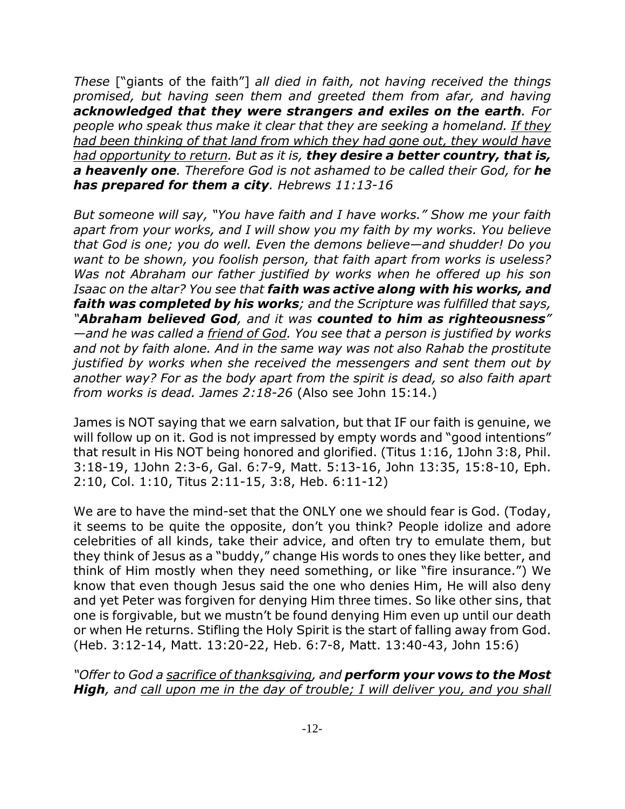*These* ["giants of the faith"] *all died in faith, not having received the things promised, but having seen them and greeted them from afar, and having acknowledged that they were strangers and exiles on the earth. For people who speak thus make it clear that they are seeking a homeland. If they had been thinking of that land from which they had gone out, they would have had opportunity to return. But as it is, they desire a better country, that is, a heavenly one. Therefore God is not ashamed to be called their God, for he has prepared for them a city. Hebrews 11:13-16*

*But someone will say, "You have faith and I have works." Show me your faith apart from your works, and I will show you my faith by my works. You believe that God is one; you do well. Even the demons believe—and shudder! Do you want to be shown, you foolish person, that faith apart from works is useless? Was not Abraham our father justified by works when he offered up his son Isaac on the altar? You see that faith was active along with his works, and faith was completed by his works; and the Scripture was fulfilled that says, "Abraham believed God, and it was counted to him as righteousness" —and he was called a friend of God. You see that a person is justified by works and not by faith alone. And in the same way was not also Rahab the prostitute justified by works when she received the messengers and sent them out by another way? For as the body apart from the spirit is dead, so also faith apart from works is dead. James 2:18-26* (Also see John 15:14.)

James is NOT saying that we earn salvation, but that IF our faith is genuine, we will follow up on it. God is not impressed by empty words and "good intentions" that result in His NOT being honored and glorified. (Titus 1:16, 1John 3:8, Phil. 3:18-19, 1John 2:3-6, Gal. 6:7-9, Matt. 5:13-16, John 13:35, 15:8-10, Eph. 2:10, Col. 1:10, Titus 2:11-15, 3:8, Heb. 6:11-12)

We are to have the mind-set that the ONLY one we should fear is God. (Today, it seems to be quite the opposite, don't you think? People idolize and adore celebrities of all kinds, take their advice, and often try to emulate them, but they think of Jesus as a "buddy," change His words to ones they like better, and think of Him mostly when they need something, or like "fire insurance.") We know that even though Jesus said the one who denies Him, He will also deny and yet Peter was forgiven for denying Him three times. So like other sins, that one is forgivable, but we mustn't be found denying Him even up until our death or when He returns. Stifling the Holy Spirit is the start of falling away from God. (Heb. 3:12-14, Matt. 13:20-22, Heb. 6:7-8, Matt. 13:40-43, John 15:6)

*"Offer to God a sacrifice of thanksgiving, and perform your vows to the Most High, and call upon me in the day of trouble; I will deliver you, and you shall*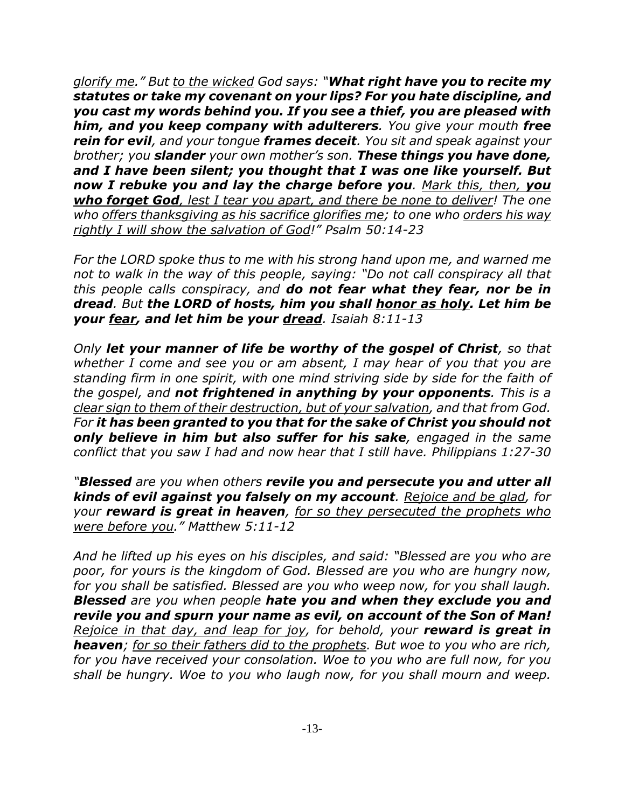*glorify me." But to the wicked God says: "What right have you to recite my statutes or take my covenant on your lips? For you hate discipline, and you cast my words behind you. If you see a thief, you are pleased with him, and you keep company with adulterers. You give your mouth free rein for evil, and your tongue frames deceit. You sit and speak against your brother; you slander your own mother's son. These things you have done, and I have been silent; you thought that I was one like yourself. But now I rebuke you and lay the charge before you. Mark this, then, you who forget God, lest I tear you apart, and there be none to deliver! The one who offers thanksgiving as his sacrifice glorifies me; to one who orders his way rightly I will show the salvation of God!" Psalm 50:14-23*

*For the LORD spoke thus to me with his strong hand upon me, and warned me not to walk in the way of this people, saying: "Do not call conspiracy all that this people calls conspiracy, and do not fear what they fear, nor be in dread. But the LORD of hosts, him you shall honor as holy. Let him be your fear, and let him be your dread. Isaiah 8:11-13*

*Only let your manner of life be worthy of the gospel of Christ, so that whether I come and see you or am absent, I may hear of you that you are standing firm in one spirit, with one mind striving side by side for the faith of the gospel, and not frightened in anything by your opponents. This is a clear sign to them of their destruction, but of your salvation, and that from God. For it has been granted to you that for the sake of Christ you should not only believe in him but also suffer for his sake, engaged in the same conflict that you saw I had and now hear that I still have. Philippians 1:27-30*

*"Blessed are you when others revile you and persecute you and utter all kinds of evil against you falsely on my account. Rejoice and be glad, for your reward is great in heaven, for so they persecuted the prophets who were before you." Matthew 5:11-12*

*And he lifted up his eyes on his disciples, and said: "Blessed are you who are poor, for yours is the kingdom of God. Blessed are you who are hungry now, for you shall be satisfied. Blessed are you who weep now, for you shall laugh. Blessed are you when people hate you and when they exclude you and revile you and spurn your name as evil, on account of the Son of Man! Rejoice in that day, and leap for joy, for behold, your reward is great in heaven; for so their fathers did to the prophets. But woe to you who are rich, for you have received your consolation. Woe to you who are full now, for you shall be hungry. Woe to you who laugh now, for you shall mourn and weep.*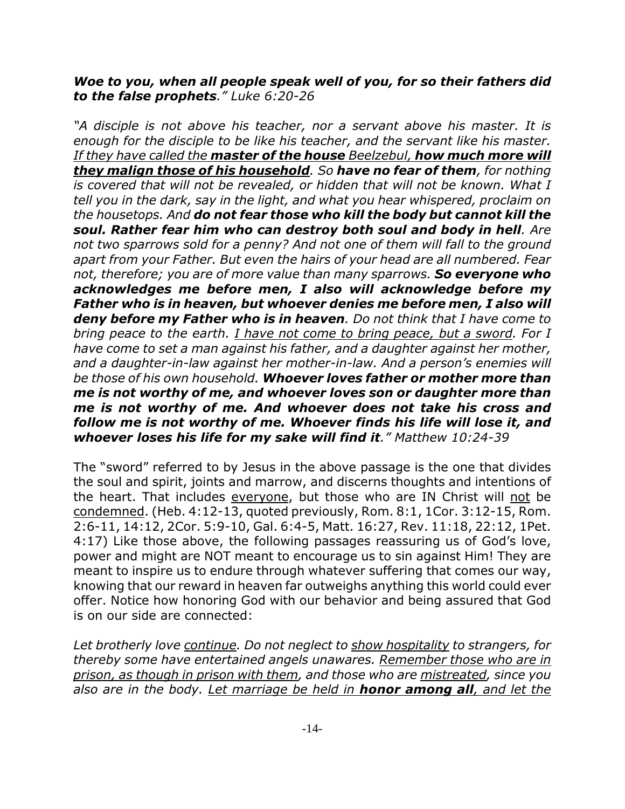## *Woe to you, when all people speak well of you, for so their fathers did to the false prophets." Luke 6:20-26*

*"A disciple is not above his teacher, nor a servant above his master. It is enough for the disciple to be like his teacher, and the servant like his master. If they have called the master of the house Beelzebul, how much more will they malign those of his household. So have no fear of them, for nothing is covered that will not be revealed, or hidden that will not be known. What I tell you in the dark, say in the light, and what you hear whispered, proclaim on the housetops. And do not fear those who kill the body but cannot kill the soul. Rather fear him who can destroy both soul and body in hell. Are not two sparrows sold for a penny? And not one of them will fall to the ground apart from your Father. But even the hairs of your head are all numbered. Fear not, therefore; you are of more value than many sparrows. So everyone who acknowledges me before men, I also will acknowledge before my Father who is in heaven, but whoever denies me before men, I also will deny before my Father who is in heaven. Do not think that I have come to bring peace to the earth. I have not come to bring peace, but a sword. For I have come to set a man against his father, and a daughter against her mother, and a daughter-in-law against her mother-in-law. And a person's enemies will be those of his own household. Whoever loves father or mother more than me is not worthy of me, and whoever loves son or daughter more than me is not worthy of me. And whoever does not take his cross and follow me is not worthy of me. Whoever finds his life will lose it, and whoever loses his life for my sake will find it." Matthew 10:24-39*

The "sword" referred to by Jesus in the above passage is the one that divides the soul and spirit, joints and marrow, and discerns thoughts and intentions of the heart. That includes everyone, but those who are IN Christ will not be condemned. (Heb. 4:12-13, quoted previously, Rom. 8:1, 1Cor. 3:12-15, Rom. 2:6-11, 14:12, 2Cor. 5:9-10, Gal. 6:4-5, Matt. 16:27, Rev. 11:18, 22:12, 1Pet. 4:17) Like those above, the following passages reassuring us of God's love, power and might are NOT meant to encourage us to sin against Him! They are meant to inspire us to endure through whatever suffering that comes our way, knowing that our reward in heaven far outweighs anything this world could ever offer. Notice how honoring God with our behavior and being assured that God is on our side are connected:

*Let brotherly love continue. Do not neglect to show hospitality to strangers, for thereby some have entertained angels unawares. Remember those who are in prison, as though in prison with them, and those who are mistreated, since you also are in the body. Let marriage be held in honor among all, and let the*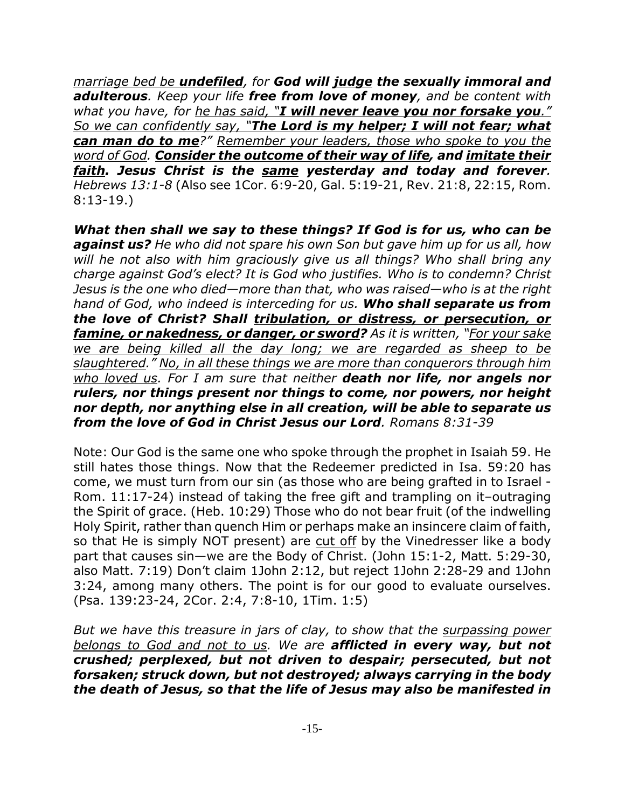*marriage bed be undefiled, for God will judge the sexually immoral and adulterous. Keep your life free from love of money, and be content with what you have, for he has said, "I will never leave you nor forsake you." So we can confidently say, "The Lord is my helper; I will not fear; what can man do to me?" Remember your leaders, those who spoke to you the word of God. Consider the outcome of their way of life, and imitate their faith. Jesus Christ is the same yesterday and today and forever. Hebrews 13:1-8* (Also see 1Cor. 6:9-20, Gal. 5:19-21, Rev. 21:8, 22:15, Rom. 8:13-19.)

*What then shall we say to these things? If God is for us, who can be against us? He who did not spare his own Son but gave him up for us all, how will he not also with him graciously give us all things? Who shall bring any charge against God's elect? It is God who justifies. Who is to condemn? Christ Jesus is the one who died—more than that, who was raised—who is at the right hand of God, who indeed is interceding for us. Who shall separate us from the love of Christ? Shall tribulation, or distress, or persecution, or famine, or nakedness, or danger, or sword? As it is written, "For your sake we are being killed all the day long; we are regarded as sheep to be slaughtered." No, in all these things we are more than conquerors through him who loved us. For I am sure that neither death nor life, nor angels nor rulers, nor things present nor things to come, nor powers, nor height nor depth, nor anything else in all creation, will be able to separate us from the love of God in Christ Jesus our Lord. Romans 8:31-39*

Note: Our God is the same one who spoke through the prophet in Isaiah 59. He still hates those things. Now that the Redeemer predicted in Isa. 59:20 has come, we must turn from our sin (as those who are being grafted in to Israel - Rom. 11:17-24) instead of taking the free gift and trampling on it–outraging the Spirit of grace. (Heb. 10:29) Those who do not bear fruit (of the indwelling Holy Spirit, rather than quench Him or perhaps make an insincere claim of faith, so that He is simply NOT present) are cut off by the Vinedresser like a body part that causes sin—we are the Body of Christ. (John 15:1-2, Matt. 5:29-30, also Matt. 7:19) Don't claim 1John 2:12, but reject 1John 2:28-29 and 1John 3:24, among many others. The point is for our good to evaluate ourselves. (Psa. 139:23-24, 2Cor. 2:4, 7:8-10, 1Tim. 1:5)

*But we have this treasure in jars of clay, to show that the surpassing power belongs to God and not to us. We are afflicted in every way, but not crushed; perplexed, but not driven to despair; persecuted, but not forsaken; struck down, but not destroyed; always carrying in the body the death of Jesus, so that the life of Jesus may also be manifested in*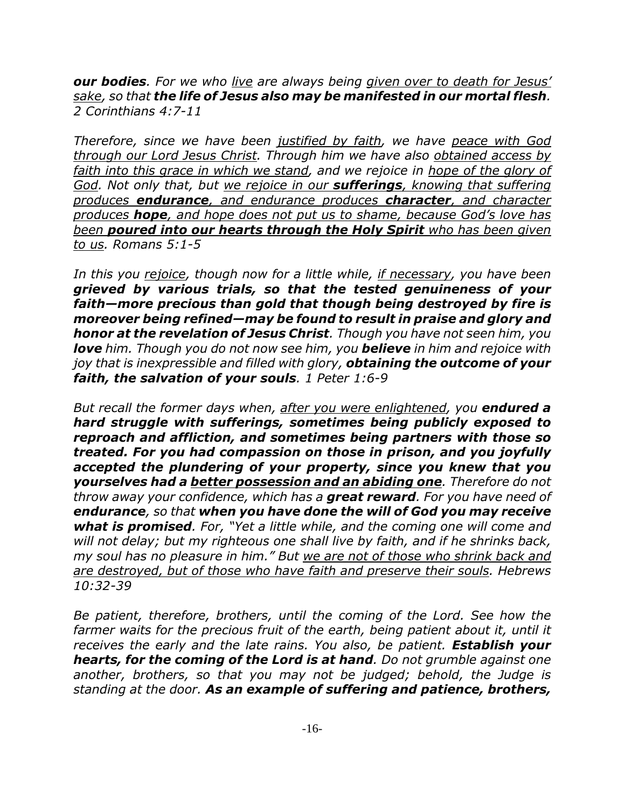*our bodies. For we who live are always being given over to death for Jesus' sake, so that the life of Jesus also may be manifested in our mortal flesh. 2 Corinthians 4:7-11*

*Therefore, since we have been justified by faith, we have peace with God through our Lord Jesus Christ. Through him we have also obtained access by faith into this grace in which we stand, and we rejoice in hope of the glory of God. Not only that, but we rejoice in our sufferings, knowing that suffering produces endurance, and endurance produces character, and character produces hope, and hope does not put us to shame, because God's love has been poured into our hearts through the Holy Spirit who has been given to us. Romans 5:1-5*

*In this you rejoice, though now for a little while, if necessary, you have been grieved by various trials, so that the tested genuineness of your faith—more precious than gold that though being destroyed by fire is moreover being refined—may be found to result in praise and glory and honor at the revelation of Jesus Christ. Though you have not seen him, you love him. Though you do not now see him, you believe in him and rejoice with joy that is inexpressible and filled with glory, obtaining the outcome of your faith, the salvation of your souls. 1 Peter 1:6-9*

*But recall the former days when, after you were enlightened, you endured a hard struggle with sufferings, sometimes being publicly exposed to reproach and affliction, and sometimes being partners with those so treated. For you had compassion on those in prison, and you joyfully accepted the plundering of your property, since you knew that you yourselves had a better possession and an abiding one. Therefore do not throw away your confidence, which has a great reward. For you have need of endurance, so that when you have done the will of God you may receive what is promised. For, "Yet a little while, and the coming one will come and will not delay; but my righteous one shall live by faith, and if he shrinks back, my soul has no pleasure in him." But we are not of those who shrink back and are destroyed, but of those who have faith and preserve their souls. Hebrews 10:32-39*

*Be patient, therefore, brothers, until the coming of the Lord. See how the farmer waits for the precious fruit of the earth, being patient about it, until it receives the early and the late rains. You also, be patient. Establish your hearts, for the coming of the Lord is at hand. Do not grumble against one another, brothers, so that you may not be judged; behold, the Judge is standing at the door. As an example of suffering and patience, brothers,*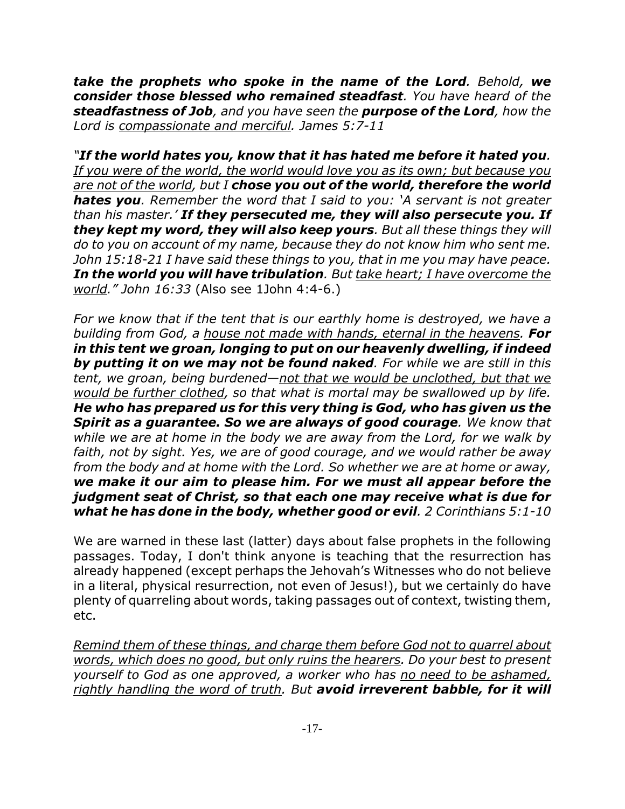*take the prophets who spoke in the name of the Lord. Behold, we consider those blessed who remained steadfast. You have heard of the steadfastness of Job, and you have seen the purpose of the Lord, how the Lord is compassionate and merciful. James 5:7-11*

*"If the world hates you, know that it has hated me before it hated you. If you were of the world, the world would love you as its own; but because you are not of the world, but I chose you out of the world, therefore the world hates you. Remember the word that I said to you: 'A servant is not greater than his master.' If they persecuted me, they will also persecute you. If they kept my word, they will also keep yours. But all these things they will do to you on account of my name, because they do not know him who sent me. John 15:18-21 I have said these things to you, that in me you may have peace. In the world you will have tribulation. But take heart; I have overcome the world." John 16:33* (Also see 1John 4:4-6.)

*For we know that if the tent that is our earthly home is destroyed, we have a building from God, a house not made with hands, eternal in the heavens. For in this tent we groan, longing to put on our heavenly dwelling, if indeed by putting it on we may not be found naked. For while we are still in this tent, we groan, being burdened—not that we would be unclothed, but that we would be further clothed, so that what is mortal may be swallowed up by life. He who has prepared us for this very thing is God, who has given us the Spirit as a guarantee. So we are always of good courage. We know that while we are at home in the body we are away from the Lord, for we walk by faith, not by sight. Yes, we are of good courage, and we would rather be away from the body and at home with the Lord. So whether we are at home or away, we make it our aim to please him. For we must all appear before the judgment seat of Christ, so that each one may receive what is due for what he has done in the body, whether good or evil. 2 Corinthians 5:1-10*

We are warned in these last (latter) days about false prophets in the following passages. Today, I don't think anyone is teaching that the resurrection has already happened (except perhaps the Jehovah's Witnesses who do not believe in a literal, physical resurrection, not even of Jesus!), but we certainly do have plenty of quarreling about words, taking passages out of context, twisting them, etc.

*Remind them of these things, and charge them before God not to quarrel about words, which does no good, but only ruins the hearers. Do your best to present yourself to God as one approved, a worker who has no need to be ashamed, rightly handling the word of truth. But avoid irreverent babble, for it will*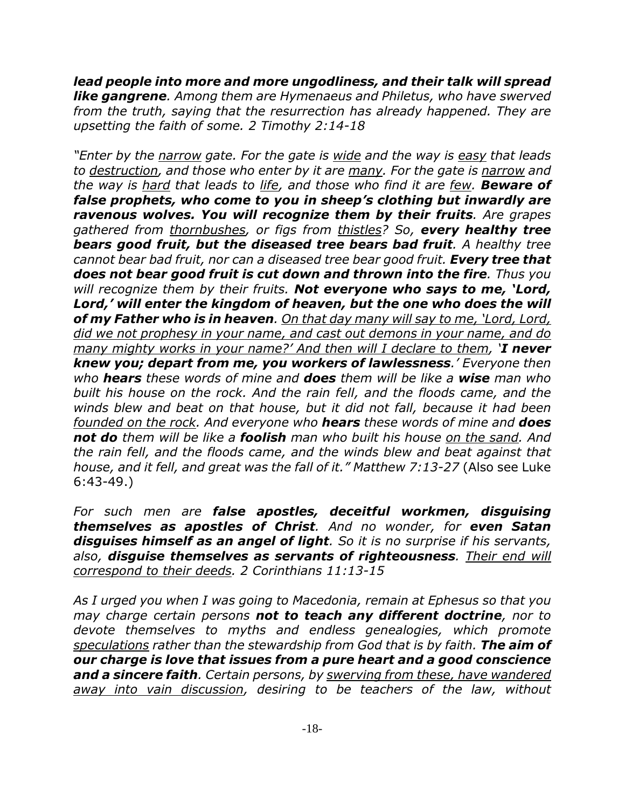*lead people into more and more ungodliness, and their talk will spread like gangrene. Among them are Hymenaeus and Philetus, who have swerved from the truth, saying that the resurrection has already happened. They are upsetting the faith of some. 2 Timothy 2:14-18*

*"Enter by the narrow gate. For the gate is wide and the way is easy that leads to destruction, and those who enter by it are many. For the gate is narrow and the way is hard that leads to life, and those who find it are few. Beware of false prophets, who come to you in sheep's clothing but inwardly are ravenous wolves. You will recognize them by their fruits. Are grapes gathered from thornbushes, or figs from thistles? So, every healthy tree bears good fruit, but the diseased tree bears bad fruit. A healthy tree cannot bear bad fruit, nor can a diseased tree bear good fruit. Every tree that does not bear good fruit is cut down and thrown into the fire. Thus you will recognize them by their fruits. Not everyone who says to me, 'Lord, Lord,' will enter the kingdom of heaven, but the one who does the will of my Father who is in heaven. On that day many will say to me, 'Lord, Lord, did we not prophesy in your name, and cast out demons in your name, and do many mighty works in your name?' And then will I declare to them, 'I never knew you; depart from me, you workers of lawlessness.' Everyone then who hears these words of mine and does them will be like a wise man who built his house on the rock. And the rain fell, and the floods came, and the winds blew and beat on that house, but it did not fall, because it had been founded on the rock. And everyone who hears these words of mine and does not do them will be like a foolish man who built his house on the sand. And the rain fell, and the floods came, and the winds blew and beat against that house, and it fell, and great was the fall of it." Matthew 7:13-27* (Also see Luke 6:43-49.)

*For such men are false apostles, deceitful workmen, disguising themselves as apostles of Christ. And no wonder, for even Satan disguises himself as an angel of light. So it is no surprise if his servants, also, disguise themselves as servants of righteousness. Their end will correspond to their deeds. 2 Corinthians 11:13-15*

*As I urged you when I was going to Macedonia, remain at Ephesus so that you may charge certain persons not to teach any different doctrine, nor to devote themselves to myths and endless genealogies, which promote speculations rather than the stewardship from God that is by faith. The aim of our charge is love that issues from a pure heart and a good conscience and a sincere faith. Certain persons, by swerving from these, have wandered away into vain discussion, desiring to be teachers of the law, without*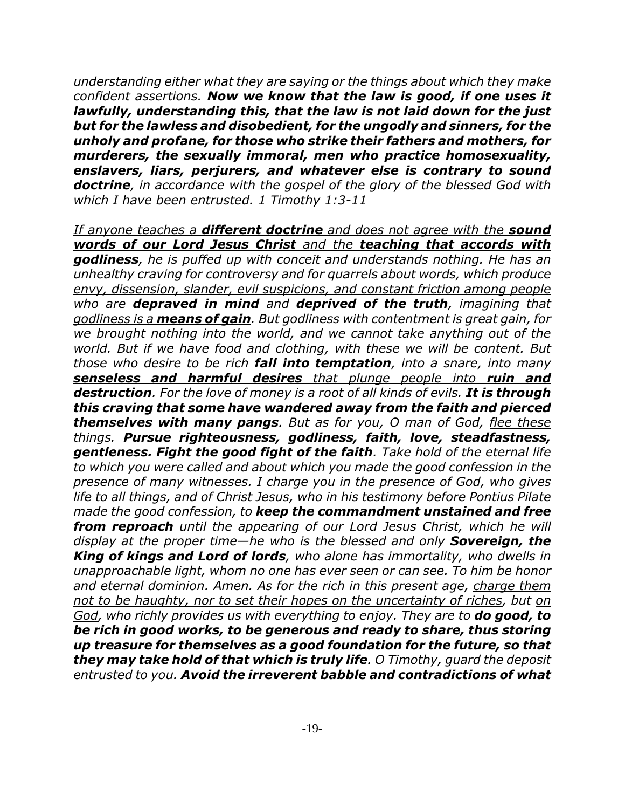*understanding either what they are saying or the things about which they make confident assertions. Now we know that the law is good, if one uses it lawfully, understanding this, that the law is not laid down for the just but for the lawless and disobedient, for the ungodly and sinners, for the unholy and profane, for those who strike their fathers and mothers, for murderers, the sexually immoral, men who practice homosexuality, enslavers, liars, perjurers, and whatever else is contrary to sound doctrine, in accordance with the gospel of the glory of the blessed God with which I have been entrusted. 1 Timothy 1:3-11*

*If anyone teaches a different doctrine and does not agree with the sound words of our Lord Jesus Christ and the teaching that accords with godliness, he is puffed up with conceit and understands nothing. He has an unhealthy craving for controversy and for quarrels about words, which produce envy, dissension, slander, evil suspicions, and constant friction among people who are depraved in mind and deprived of the truth, imagining that godliness is a means of gain. But godliness with contentment is great gain, for we brought nothing into the world, and we cannot take anything out of the world. But if we have food and clothing, with these we will be content. But those who desire to be rich fall into temptation, into a snare, into many senseless and harmful desires that plunge people into ruin and destruction. For the love of money is a root of all kinds of evils. It is through this craving that some have wandered away from the faith and pierced themselves with many pangs. But as for you, O man of God, flee these things. Pursue righteousness, godliness, faith, love, steadfastness, gentleness. Fight the good fight of the faith. Take hold of the eternal life to which you were called and about which you made the good confession in the presence of many witnesses. I charge you in the presence of God, who gives life to all things, and of Christ Jesus, who in his testimony before Pontius Pilate made the good confession, to keep the commandment unstained and free from reproach until the appearing of our Lord Jesus Christ, which he will display at the proper time—he who is the blessed and only Sovereign, the King of kings and Lord of lords, who alone has immortality, who dwells in unapproachable light, whom no one has ever seen or can see. To him be honor and eternal dominion. Amen. As for the rich in this present age, charge them not to be haughty, nor to set their hopes on the uncertainty of riches, but on God, who richly provides us with everything to enjoy. They are to do good, to be rich in good works, to be generous and ready to share, thus storing up treasure for themselves as a good foundation for the future, so that they may take hold of that which is truly life. O Timothy, guard the deposit entrusted to you. Avoid the irreverent babble and contradictions of what*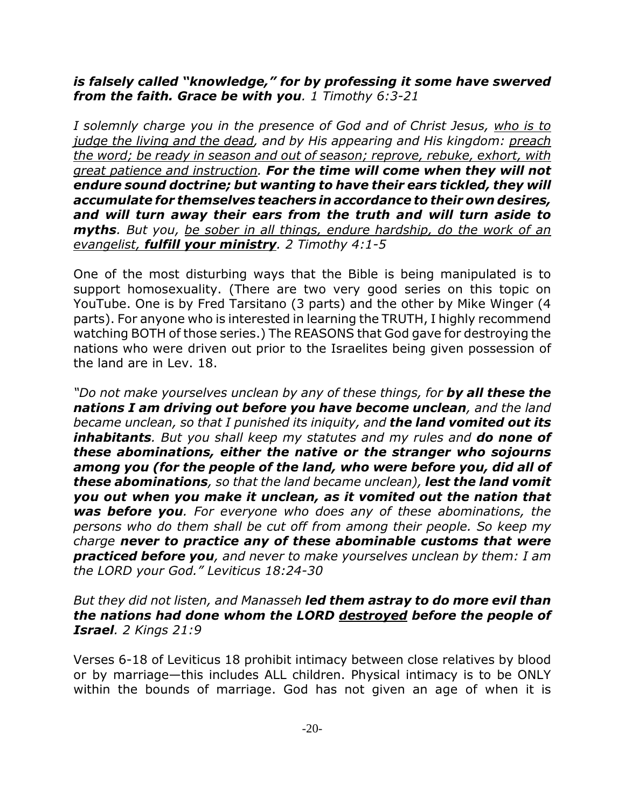## *is falsely called "knowledge," for by professing it some have swerved from the faith. Grace be with you. 1 Timothy 6:3-21*

*I solemnly charge you in the presence of God and of Christ Jesus, who is to judge the living and the dead, and by His appearing and His kingdom: preach the word; be ready in season and out of season; reprove, rebuke, exhort, with great patience and instruction. For the time will come when they will not endure sound doctrine; but wanting to have their ears tickled, they will accumulate for themselves teachers in accordance to their own desires, and will turn away their ears from the truth and will turn aside to myths. But you, be sober in all things, endure hardship, do the work of an evangelist, fulfill your ministry. 2 Timothy 4:1-5*

One of the most disturbing ways that the Bible is being manipulated is to support homosexuality. (There are two very good series on this topic on YouTube. One is by Fred Tarsitano (3 parts) and the other by Mike Winger (4 parts). For anyone who is interested in learning the TRUTH, I highly recommend watching BOTH of those series.) The REASONS that God gave for destroying the nations who were driven out prior to the Israelites being given possession of the land are in Lev. 18.

*"Do not make yourselves unclean by any of these things, for by all these the nations I am driving out before you have become unclean, and the land became unclean, so that I punished its iniquity, and the land vomited out its inhabitants. But you shall keep my statutes and my rules and do none of these abominations, either the native or the stranger who sojourns among you (for the people of the land, who were before you, did all of these abominations, so that the land became unclean), lest the land vomit you out when you make it unclean, as it vomited out the nation that was before you. For everyone who does any of these abominations, the persons who do them shall be cut off from among their people. So keep my charge never to practice any of these abominable customs that were practiced before you, and never to make yourselves unclean by them: I am the LORD your God." Leviticus 18:24-30*

### *But they did not listen, and Manasseh led them astray to do more evil than the nations had done whom the LORD destroyed before the people of Israel. 2 Kings 21:9*

Verses 6-18 of Leviticus 18 prohibit intimacy between close relatives by blood or by marriage—this includes ALL children. Physical intimacy is to be ONLY within the bounds of marriage. God has not given an age of when it is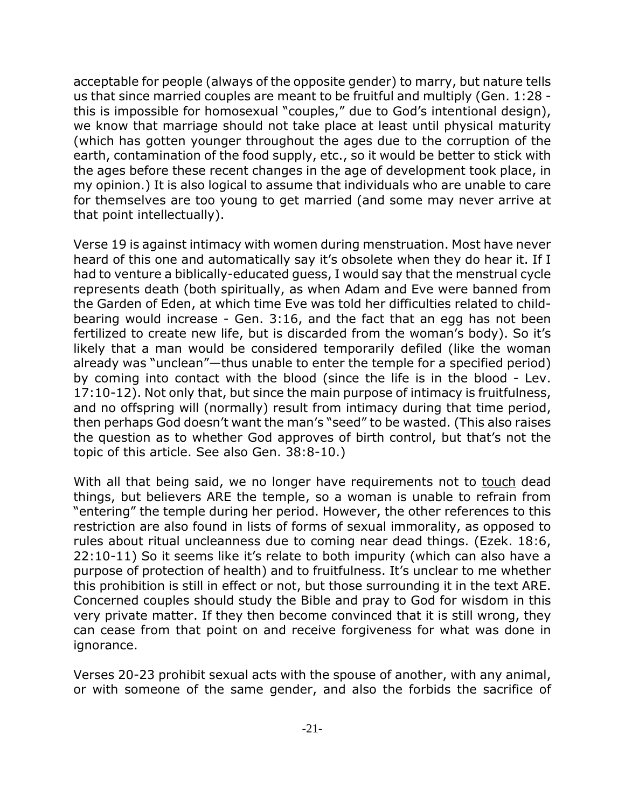acceptable for people (always of the opposite gender) to marry, but nature tells us that since married couples are meant to be fruitful and multiply (Gen. 1:28 this is impossible for homosexual "couples," due to God's intentional design), we know that marriage should not take place at least until physical maturity (which has gotten younger throughout the ages due to the corruption of the earth, contamination of the food supply, etc., so it would be better to stick with the ages before these recent changes in the age of development took place, in my opinion.) It is also logical to assume that individuals who are unable to care for themselves are too young to get married (and some may never arrive at that point intellectually).

Verse 19 is against intimacy with women during menstruation. Most have never heard of this one and automatically say it's obsolete when they do hear it. If I had to venture a biblically-educated guess, I would say that the menstrual cycle represents death (both spiritually, as when Adam and Eve were banned from the Garden of Eden, at which time Eve was told her difficulties related to childbearing would increase - Gen. 3:16, and the fact that an egg has not been fertilized to create new life, but is discarded from the woman's body). So it's likely that a man would be considered temporarily defiled (like the woman already was "unclean"—thus unable to enter the temple for a specified period) by coming into contact with the blood (since the life is in the blood - Lev. 17:10-12). Not only that, but since the main purpose of intimacy is fruitfulness, and no offspring will (normally) result from intimacy during that time period, then perhaps God doesn't want the man's "seed" to be wasted. (This also raises the question as to whether God approves of birth control, but that's not the topic of this article. See also Gen. 38:8-10.)

With all that being said, we no longer have requirements not to touch dead things, but believers ARE the temple, so a woman is unable to refrain from "entering" the temple during her period. However, the other references to this restriction are also found in lists of forms of sexual immorality, as opposed to rules about ritual uncleanness due to coming near dead things. (Ezek. 18:6, 22:10-11) So it seems like it's relate to both impurity (which can also have a purpose of protection of health) and to fruitfulness. It's unclear to me whether this prohibition is still in effect or not, but those surrounding it in the text ARE. Concerned couples should study the Bible and pray to God for wisdom in this very private matter. If they then become convinced that it is still wrong, they can cease from that point on and receive forgiveness for what was done in ignorance.

Verses 20-23 prohibit sexual acts with the spouse of another, with any animal, or with someone of the same gender, and also the forbids the sacrifice of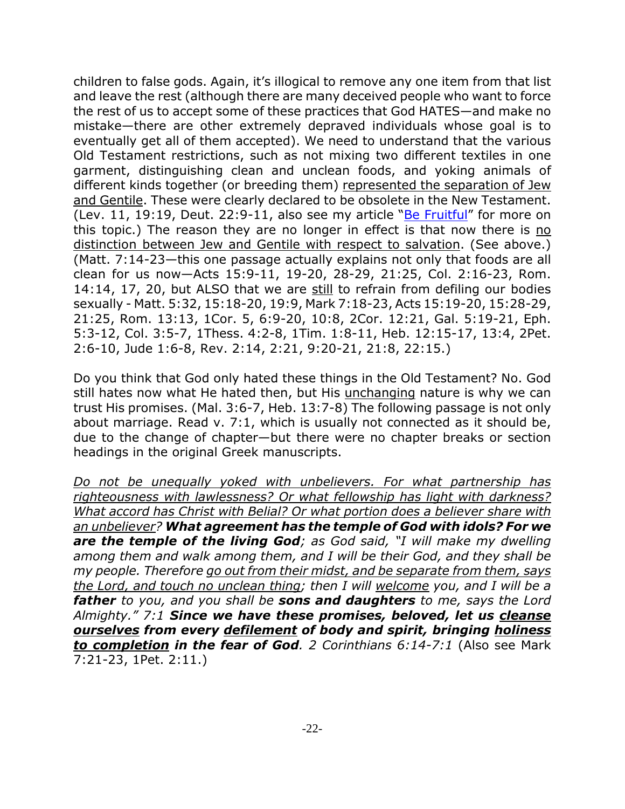children to false gods. Again, it's illogical to remove any one item from that list and leave the rest (although there are many deceived people who want to force the rest of us to accept some of these practices that God HATES—and make no mistake—there are other extremely depraved individuals whose goal is to eventually get all of them accepted). We need to understand that the various Old Testament restrictions, such as not mixing two different textiles in one garment, distinguishing clean and unclean foods, and yoking animals of different kinds together (or breeding them) represented the separation of Jew and Gentile. These were clearly declared to be obsolete in the New Testament. (Lev. 11, 19:19, Deut. 22:9-11, also see my article " $Be$  Fruitful" for more on this topic.) The reason they are no longer in effect is that now there is no distinction between Jew and Gentile with respect to salvation. (See above.) (Matt. 7:14-23—this one passage actually explains not only that foods are all clean for us now—Acts 15:9-11, 19-20, 28-29, 21:25, Col. 2:16-23, Rom. 14:14, 17, 20, but ALSO that we are still to refrain from defiling our bodies sexually - Matt. 5:32, 15:18-20, 19:9, Mark 7:18-23, Acts 15:19-20, 15:28-29, 21:25, Rom. 13:13, 1Cor. 5, 6:9-20, 10:8, 2Cor. 12:21, Gal. 5:19-21, Eph. 5:3-12, Col. 3:5-7, 1Thess. 4:2-8, 1Tim. 1:8-11, Heb. 12:15-17, 13:4, 2Pet. 2:6-10, Jude 1:6-8, Rev. 2:14, 2:21, 9:20-21, 21:8, 22:15.)

Do you think that God only hated these things in the Old Testament? No. God still hates now what He hated then, but His unchanging nature is why we can trust His promises. (Mal. 3:6-7, Heb. 13:7-8) The following passage is not only about marriage. Read v. 7:1, which is usually not connected as it should be, due to the change of chapter—but there were no chapter breaks or section headings in the original Greek manuscripts.

*Do not be unequally yoked with unbelievers. For what partnership has righteousness with lawlessness? Or what fellowship has light with darkness? What accord has Christ with Belial? Or what portion does a believer share with an unbeliever? What agreement has the temple of God with idols? For we are the temple of the living God; as God said, "I will make my dwelling among them and walk among them, and I will be their God, and they shall be my people. Therefore go out from their midst, and be separate from them, says the Lord, and touch no unclean thing; then I will welcome you, and I will be a father to you, and you shall be sons and daughters to me, says the Lord Almighty." 7:1 Since we have these promises, beloved, let us cleanse ourselves from every defilement of body and spirit, bringing holiness to completion in the fear of God. 2 Corinthians 6:14-7:1* (Also see Mark 7:21-23, 1Pet. 2:11.)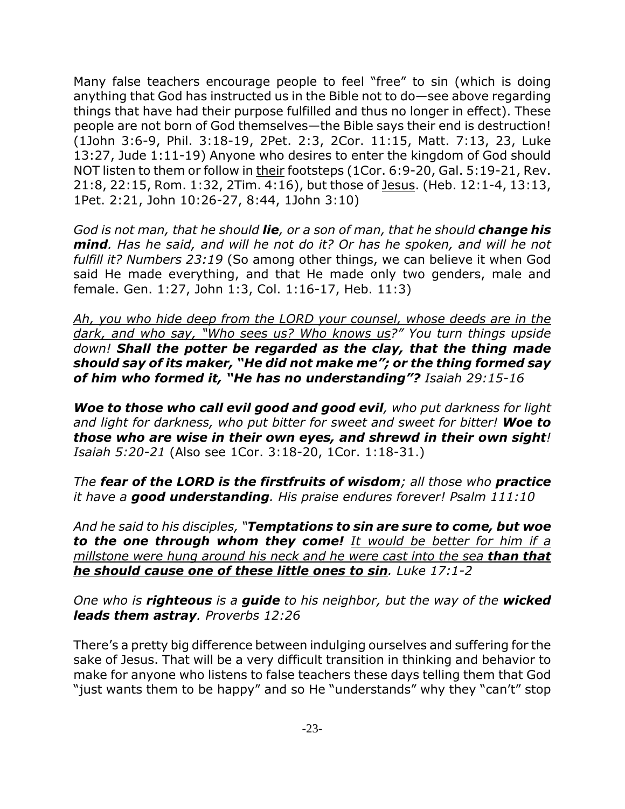Many false teachers encourage people to feel "free" to sin (which is doing anything that God has instructed us in the Bible not to do—see above regarding things that have had their purpose fulfilled and thus no longer in effect). These people are not born of God themselves—the Bible says their end is destruction! (1John 3:6-9, Phil. 3:18-19, 2Pet. 2:3, 2Cor. 11:15, Matt. 7:13, 23, Luke 13:27, Jude 1:11-19) Anyone who desires to enter the kingdom of God should NOT listen to them or follow in their footsteps (1Cor. 6:9-20, Gal. 5:19-21, Rev. 21:8, 22:15, Rom. 1:32, 2Tim. 4:16), but those of Jesus. (Heb. 12:1-4, 13:13, 1Pet. 2:21, John 10:26-27, 8:44, 1John 3:10)

*God is not man, that he should lie, or a son of man, that he should change his mind. Has he said, and will he not do it? Or has he spoken, and will he not fulfill it? Numbers 23:19* (So among other things, we can believe it when God said He made everything, and that He made only two genders, male and female. Gen. 1:27, John 1:3, Col. 1:16-17, Heb. 11:3)

*Ah, you who hide deep from the LORD your counsel, whose deeds are in the dark, and who say, "Who sees us? Who knows us?" You turn things upside down! Shall the potter be regarded as the clay, that the thing made should say of its maker, "He did not make me"; or the thing formed say of him who formed it, "He has no understanding"? Isaiah 29:15-16*

*Woe to those who call evil good and good evil, who put darkness for light and light for darkness, who put bitter for sweet and sweet for bitter! Woe to those who are wise in their own eyes, and shrewd in their own sight! Isaiah 5:20-21* (Also see 1Cor. 3:18-20, 1Cor. 1:18-31.)

*The fear of the LORD is the firstfruits of wisdom; all those who practice it have a good understanding. His praise endures forever! Psalm 111:10*

*And he said to his disciples, "Temptations to sin are sure to come, but woe to the one through whom they come! It would be better for him if a millstone were hung around his neck and he were cast into the sea than that he should cause one of these little ones to sin. Luke 17:1-2*

*One who is righteous is a guide to his neighbor, but the way of the wicked leads them astray. Proverbs 12:26*

There's a pretty big difference between indulging ourselves and suffering for the sake of Jesus. That will be a very difficult transition in thinking and behavior to make for anyone who listens to false teachers these days telling them that God "just wants them to be happy" and so He "understands" why they "can't" stop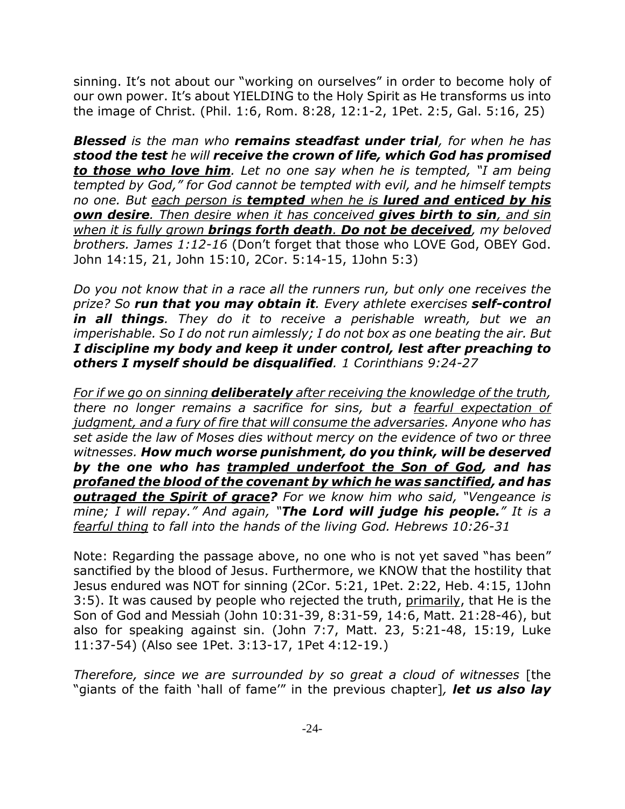sinning. It's not about our "working on ourselves" in order to become holy of our own power. It's about YIELDING to the Holy Spirit as He transforms us into the image of Christ. (Phil. 1:6, Rom. 8:28, 12:1-2, 1Pet. 2:5, Gal. 5:16, 25)

*Blessed is the man who remains steadfast under trial, for when he has stood the test he will receive the crown of life, which God has promised to those who love him. Let no one say when he is tempted, "I am being tempted by God," for God cannot be tempted with evil, and he himself tempts no one. But each person is tempted when he is lured and enticed by his own desire. Then desire when it has conceived gives birth to sin, and sin when it is fully grown brings forth death. Do not be deceived, my beloved brothers. James 1:12-16* (Don't forget that those who LOVE God, OBEY God. John 14:15, 21, John 15:10, 2Cor. 5:14-15, 1John 5:3)

*Do you not know that in a race all the runners run, but only one receives the prize? So run that you may obtain it. Every athlete exercises self-control in all things. They do it to receive a perishable wreath, but we an imperishable. So I do not run aimlessly; I do not box as one beating the air. But I discipline my body and keep it under control, lest after preaching to others I myself should be disqualified. 1 Corinthians 9:24-27*

*For if we go on sinning deliberately after receiving the knowledge of the truth, there no longer remains a sacrifice for sins, but a fearful expectation of judgment, and a fury of fire that will consume the adversaries. Anyone who has set aside the law of Moses dies without mercy on the evidence of two or three witnesses. How much worse punishment, do you think, will be deserved by the one who has trampled underfoot the Son of God, and has profaned the blood of the covenant by which he was sanctified, and has outraged the Spirit of grace? For we know him who said, "Vengeance is mine; I will repay." And again, "The Lord will judge his people." It is a fearful thing to fall into the hands of the living God. Hebrews 10:26-31*

Note: Regarding the passage above, no one who is not yet saved "has been" sanctified by the blood of Jesus. Furthermore, we KNOW that the hostility that Jesus endured was NOT for sinning (2Cor. 5:21, 1Pet. 2:22, Heb. 4:15, 1John 3:5). It was caused by people who rejected the truth, primarily, that He is the Son of God and Messiah (John 10:31-39, 8:31-59, 14:6, Matt. 21:28-46), but also for speaking against sin. (John 7:7, Matt. 23, 5:21-48, 15:19, Luke 11:37-54) (Also see 1Pet. 3:13-17, 1Pet 4:12-19.)

*Therefore, since we are surrounded by so great a cloud of witnesses* [the "giants of the faith 'hall of fame'" in the previous chapter]*, let us also lay*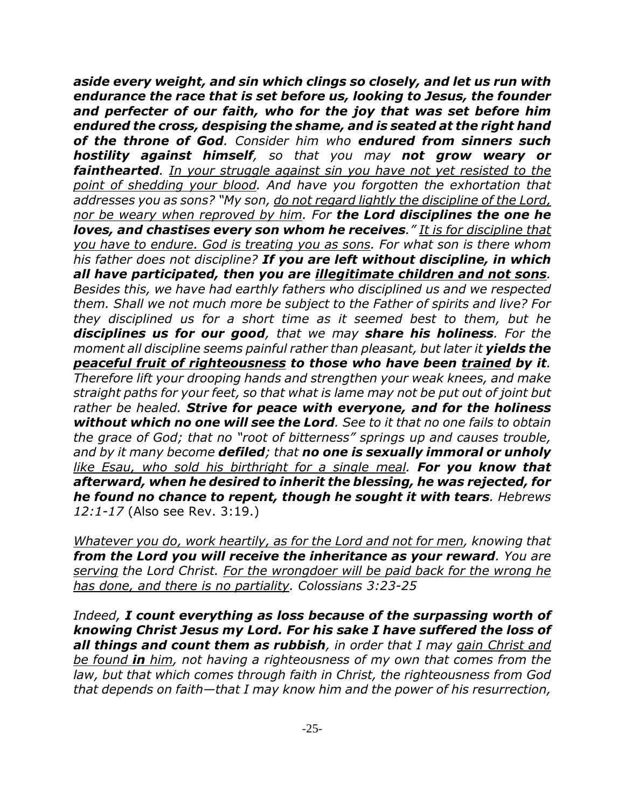*aside every weight, and sin which clings so closely, and let us run with endurance the race that is set before us, looking to Jesus, the founder and perfecter of our faith, who for the joy that was set before him endured the cross, despising the shame, and is seated at the right hand of the throne of God. Consider him who endured from sinners such hostility against himself, so that you may not grow weary or fainthearted. In your struggle against sin you have not yet resisted to the point of shedding your blood. And have you forgotten the exhortation that addresses you as sons? "My son, do not regard lightly the discipline of the Lord, nor be weary when reproved by him. For the Lord disciplines the one he loves, and chastises every son whom he receives." It is for discipline that you have to endure. God is treating you as sons. For what son is there whom his father does not discipline? If you are left without discipline, in which all have participated, then you are illegitimate children and not sons. Besides this, we have had earthly fathers who disciplined us and we respected them. Shall we not much more be subject to the Father of spirits and live? For they disciplined us for a short time as it seemed best to them, but he disciplines us for our good, that we may share his holiness. For the moment all discipline seems painful rather than pleasant, but later it yields the peaceful fruit of righteousness to those who have been trained by it. Therefore lift your drooping hands and strengthen your weak knees, and make straight paths for your feet, so that what is lame may not be put out of joint but rather be healed. Strive for peace with everyone, and for the holiness without which no one will see the Lord. See to it that no one fails to obtain the grace of God; that no "root of bitterness" springs up and causes trouble, and by it many become defiled; that no one is sexually immoral or unholy like Esau, who sold his birthright for a single meal. For you know that afterward, when he desired to inherit the blessing, he was rejected, for he found no chance to repent, though he sought it with tears. Hebrews 12:1-17* (Also see Rev. 3:19.)

*Whatever you do, work heartily, as for the Lord and not for men, knowing that from the Lord you will receive the inheritance as your reward. You are serving the Lord Christ. For the wrongdoer will be paid back for the wrong he has done, and there is no partiality. Colossians 3:23-25*

*Indeed, I count everything as loss because of the surpassing worth of knowing Christ Jesus my Lord. For his sake I have suffered the loss of all things and count them as rubbish, in order that I may gain Christ and be found in him, not having a righteousness of my own that comes from the law, but that which comes through faith in Christ, the righteousness from God that depends on faith—that I may know him and the power of his resurrection,*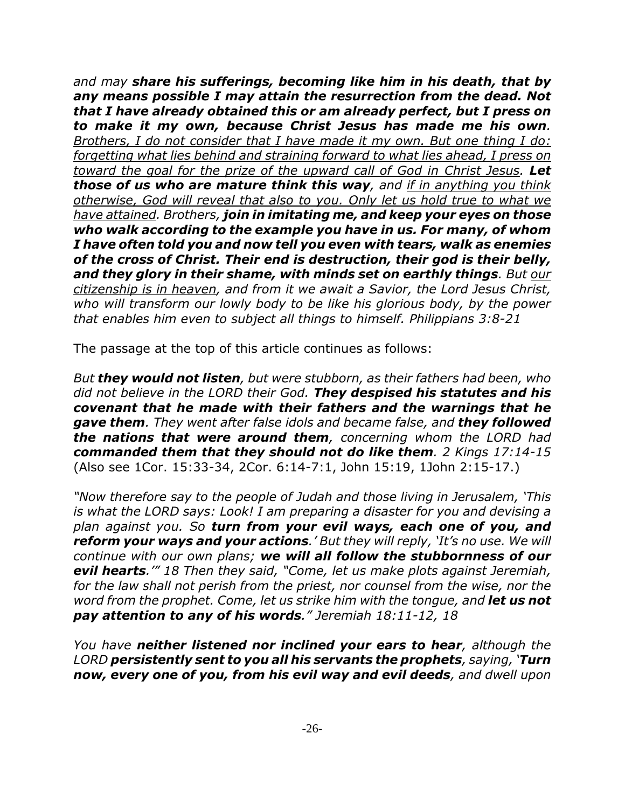*and may share his sufferings, becoming like him in his death, that by any means possible I may attain the resurrection from the dead. Not that I have already obtained this or am already perfect, but I press on to make it my own, because Christ Jesus has made me his own. Brothers, I do not consider that I have made it my own. But one thing I do: forgetting what lies behind and straining forward to what lies ahead, I press on toward the goal for the prize of the upward call of God in Christ Jesus. Let those of us who are mature think this way, and if in anything you think otherwise, God will reveal that also to you. Only let us hold true to what we have attained. Brothers, join in imitating me, and keep your eyes on those who walk according to the example you have in us. For many, of whom I have often told you and now tell you even with tears, walk as enemies of the cross of Christ. Their end is destruction, their god is their belly, and they glory in their shame, with minds set on earthly things. But our citizenship is in heaven, and from it we await a Savior, the Lord Jesus Christ, who will transform our lowly body to be like his glorious body, by the power that enables him even to subject all things to himself. Philippians 3:8-21*

The passage at the top of this article continues as follows:

*But they would not listen, but were stubborn, as their fathers had been, who did not believe in the LORD their God. They despised his statutes and his covenant that he made with their fathers and the warnings that he gave them. They went after false idols and became false, and they followed the nations that were around them, concerning whom the LORD had commanded them that they should not do like them. 2 Kings 17:14-15* (Also see 1Cor. 15:33-34, 2Cor. 6:14-7:1, John 15:19, 1John 2:15-17.)

*"Now therefore say to the people of Judah and those living in Jerusalem, 'This is what the LORD says: Look! I am preparing a disaster for you and devising a plan against you. So turn from your evil ways, each one of you, and reform your ways and your actions.' But they will reply, 'It's no use. We will continue with our own plans; we will all follow the stubbornness of our evil hearts.'" 18 Then they said, "Come, let us make plots against Jeremiah, for the law shall not perish from the priest, nor counsel from the wise, nor the word from the prophet. Come, let us strike him with the tongue, and let us not pay attention to any of his words." Jeremiah 18:11-12, 18*

*You have neither listened nor inclined your ears to hear, although the LORD persistently sent to you all his servants the prophets, saying, 'Turn now, every one of you, from his evil way and evil deeds, and dwell upon*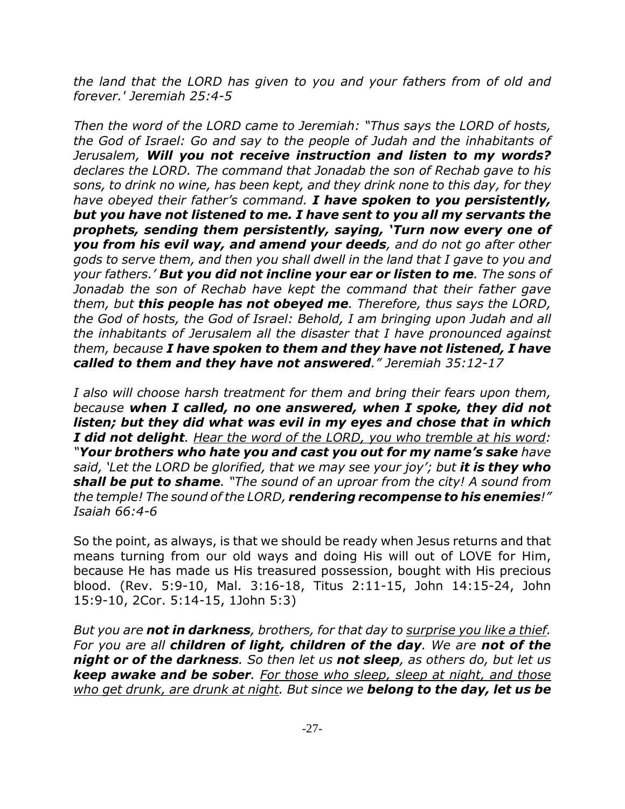*the land that the LORD has given to you and your fathers from of old and forever.' Jeremiah 25:4-5*

*Then the word of the LORD came to Jeremiah: "Thus says the LORD of hosts, the God of Israel: Go and say to the people of Judah and the inhabitants of Jerusalem, Will you not receive instruction and listen to my words? declares the LORD. The command that Jonadab the son of Rechab gave to his sons, to drink no wine, has been kept, and they drink none to this day, for they have obeyed their father's command. I have spoken to you persistently, but you have not listened to me. I have sent to you all my servants the prophets, sending them persistently, saying, 'Turn now every one of you from his evil way, and amend your deeds, and do not go after other gods to serve them, and then you shall dwell in the land that I gave to you and your fathers.' But you did not incline your ear or listen to me. The sons of Jonadab the son of Rechab have kept the command that their father gave them, but this people has not obeyed me. Therefore, thus says the LORD, the God of hosts, the God of Israel: Behold, I am bringing upon Judah and all the inhabitants of Jerusalem all the disaster that I have pronounced against them, because I have spoken to them and they have not listened, I have called to them and they have not answered." Jeremiah 35:12-17*

*I also will choose harsh treatment for them and bring their fears upon them, because when I called, no one answered, when I spoke, they did not listen; but they did what was evil in my eyes and chose that in which I did not delight. Hear the word of the LORD, you who tremble at his word: "Your brothers who hate you and cast you out for my name's sake have said, 'Let the LORD be glorified, that we may see your joy'; but it is they who shall be put to shame. "The sound of an uproar from the city! A sound from the temple! The sound of the LORD, rendering recompense to his enemies!" Isaiah 66:4-6*

So the point, as always, is that we should be ready when Jesus returns and that means turning from our old ways and doing His will out of LOVE for Him, because He has made us His treasured possession, bought with His precious blood. (Rev. 5:9-10, Mal. 3:16-18, Titus 2:11-15, John 14:15-24, John 15:9-10, 2Cor. 5:14-15, 1John 5:3)

*But you are not in darkness, brothers, for that day to surprise you like a thief. For you are all children of light, children of the day. We are not of the night or of the darkness. So then let us not sleep, as others do, but let us keep awake and be sober. For those who sleep, sleep at night, and those who get drunk, are drunk at night. But since we belong to the day, let us be*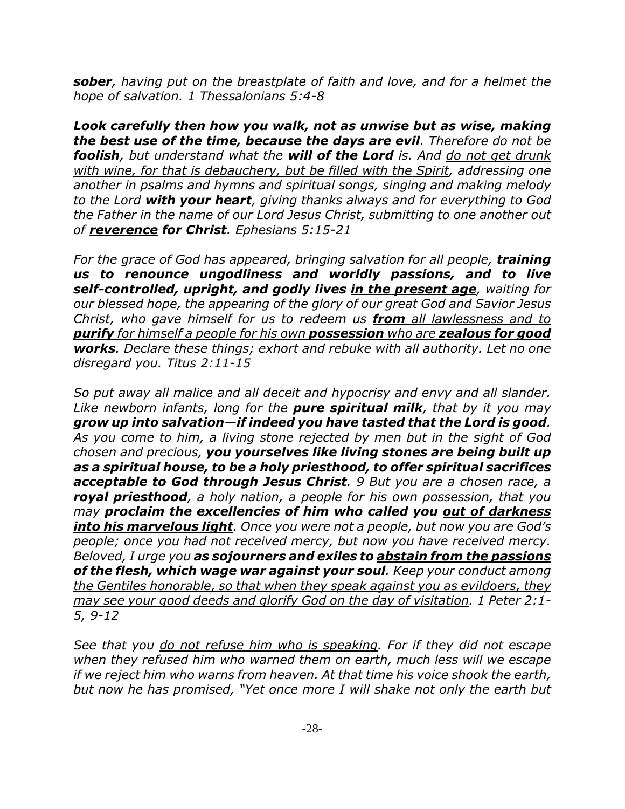*sober, having put on the breastplate of faith and love, and for a helmet the hope of salvation. 1 Thessalonians 5:4-8*

*Look carefully then how you walk, not as unwise but as wise, making the best use of the time, because the days are evil. Therefore do not be foolish, but understand what the will of the Lord is. And do not get drunk with wine, for that is debauchery, but be filled with the Spirit, addressing one another in psalms and hymns and spiritual songs, singing and making melody to the Lord with your heart, giving thanks always and for everything to God the Father in the name of our Lord Jesus Christ, submitting to one another out of reverence for Christ. Ephesians 5:15-21*

*For the grace of God has appeared, bringing salvation for all people, training us to renounce ungodliness and worldly passions, and to live self-controlled, upright, and godly lives in the present age, waiting for our blessed hope, the appearing of the glory of our great God and Savior Jesus Christ, who gave himself for us to redeem us from all lawlessness and to purify for himself a people for his own possession who are zealous for good works. Declare these things; exhort and rebuke with all authority. Let no one disregard you. Titus 2:11-15*

*So put away all malice and all deceit and hypocrisy and envy and all slander. Like newborn infants, long for the pure spiritual milk, that by it you may grow up into salvation—if indeed you have tasted that the Lord is good. As you come to him, a living stone rejected by men but in the sight of God chosen and precious, you yourselves like living stones are being built up as a spiritual house, to be a holy priesthood, to offer spiritual sacrifices acceptable to God through Jesus Christ. 9 But you are a chosen race, a royal priesthood, a holy nation, a people for his own possession, that you may proclaim the excellencies of him who called you out of darkness into his marvelous light. Once you were not a people, but now you are God's people; once you had not received mercy, but now you have received mercy. Beloved, I urge you as sojourners and exiles to abstain from the passions of the flesh, which wage war against your soul. Keep your conduct among the Gentiles honorable, so that when they speak against you as evildoers, they may see your good deeds and glorify God on the day of visitation. 1 Peter 2:1- 5, 9-12*

*See that you do not refuse him who is speaking. For if they did not escape when they refused him who warned them on earth, much less will we escape if we reject him who warns from heaven. At that time his voice shook the earth, but now he has promised, "Yet once more I will shake not only the earth but*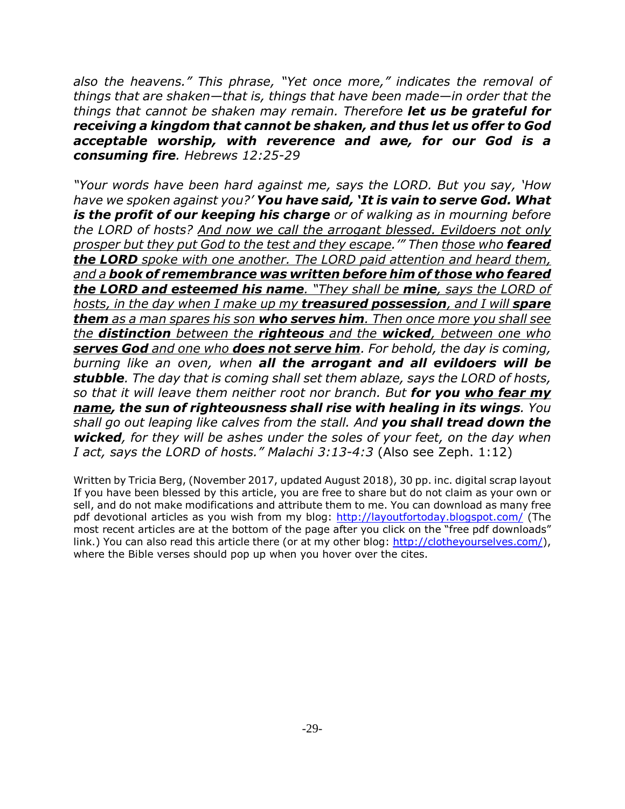*also the heavens." This phrase, "Yet once more," indicates the removal of things that are shaken—that is, things that have been made—in order that the things that cannot be shaken may remain. Therefore let us be grateful for receiving a kingdom that cannot be shaken, and thus let us offer to God acceptable worship, with reverence and awe, for our God is a consuming fire. Hebrews 12:25-29*

*"Your words have been hard against me, says the LORD. But you say, 'How have we spoken against you?' You have said, 'It is vain to serve God. What is the profit of our keeping his charge or of walking as in mourning before the LORD of hosts? And now we call the arrogant blessed. Evildoers not only prosper but they put God to the test and they escape.'" Then those who feared the LORD spoke with one another. The LORD paid attention and heard them, and a book of remembrance was written before him of those who feared the LORD and esteemed his name. "They shall be mine, says the LORD of hosts, in the day when I make up my treasured possession, and I will spare them as a man spares his son who serves him. Then once more you shall see the distinction between the righteous and the wicked, between one who serves God and one who does not serve him. For behold, the day is coming, burning like an oven, when all the arrogant and all evildoers will be stubble. The day that is coming shall set them ablaze, says the LORD of hosts, so that it will leave them neither root nor branch. But for you who fear my name, the sun of righteousness shall rise with healing in its wings. You shall go out leaping like calves from the stall. And you shall tread down the wicked, for they will be ashes under the soles of your feet, on the day when I act, says the LORD of hosts." Malachi 3:13-4:3* (Also see Zeph. 1:12)

Written by Tricia Berg, (November 2017, updated August 2018), 30 pp. inc. digital scrap layout If you have been blessed by this article, you are free to share but do not claim as your own or sell, and do not make modifications and attribute them to me. You can download as many free pdf devotional articles as you wish from my blog: http://layoutfortoday.blogspot.com/ (The most recent articles are at the bottom of the page after you click on the "free pdf downloads" link.) You can also read this article there (or at my other blog: http://clotheyourselves.com/), where the Bible verses should pop up when you hover over the cites.